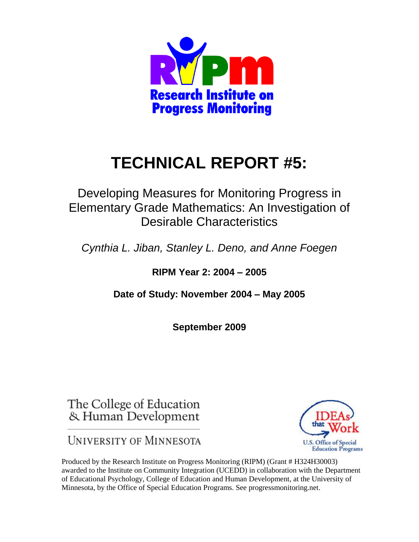

# **TECHNICAL REPORT #5:**

Developing Measures for Monitoring Progress in Elementary Grade Mathematics: An Investigation of Desirable Characteristics

*Cynthia L. Jiban, Stanley L. Deno, and Anne Foegen*

**RIPM Year 2: 2004 – 2005** 

**Date of Study: November 2004 – May 2005**

**September 2009**

The College of Education & Human Development

**UNIVERSITY OF MINNESOTA** 



Produced by the Research Institute on Progress Monitoring (RIPM) (Grant # H324H30003) awarded to the Institute on Community Integration (UCEDD) in collaboration with the Department of Educational Psychology, College of Education and Human Development, at the University of Minnesota, by the Office of Special Education Programs. See progressmonitoring.net.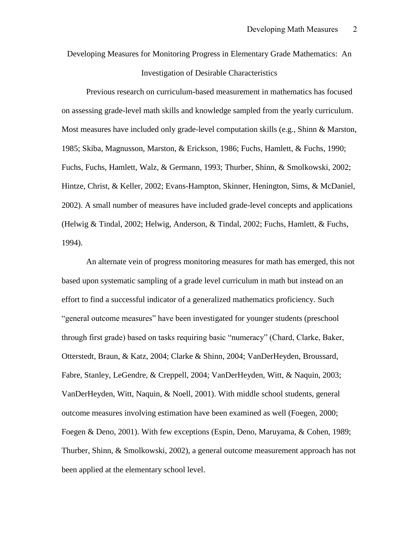Developing Measures for Monitoring Progress in Elementary Grade Mathematics: An Investigation of Desirable Characteristics

Previous research on curriculum-based measurement in mathematics has focused on assessing grade-level math skills and knowledge sampled from the yearly curriculum. Most measures have included only grade-level computation skills (e.g., Shinn & Marston, 1985; Skiba, Magnusson, Marston, & Erickson, 1986; Fuchs, Hamlett, & Fuchs, 1990; Fuchs, Fuchs, Hamlett, Walz, & Germann, 1993; Thurber, Shinn, & Smolkowski, 2002; Hintze, Christ, & Keller, 2002; Evans-Hampton, Skinner, Henington, Sims, & McDaniel, 2002). A small number of measures have included grade-level concepts and applications (Helwig & Tindal, 2002; Helwig, Anderson, & Tindal, 2002; Fuchs, Hamlett, & Fuchs, 1994).

An alternate vein of progress monitoring measures for math has emerged, this not based upon systematic sampling of a grade level curriculum in math but instead on an effort to find a successful indicator of a generalized mathematics proficiency. Such "general outcome measures" have been investigated for younger students (preschool through first grade) based on tasks requiring basic "numeracy" (Chard, Clarke, Baker, Otterstedt, Braun, & Katz, 2004; Clarke & Shinn, 2004; VanDerHeyden, Broussard, Fabre, Stanley, LeGendre, & Creppell, 2004; VanDerHeyden, Witt, & Naquin, 2003; VanDerHeyden, Witt, Naquin, & Noell, 2001). With middle school students, general outcome measures involving estimation have been examined as well (Foegen, 2000; Foegen & Deno, 2001). With few exceptions (Espin, Deno, Maruyama, & Cohen, 1989; Thurber, Shinn, & Smolkowski, 2002), a general outcome measurement approach has not been applied at the elementary school level.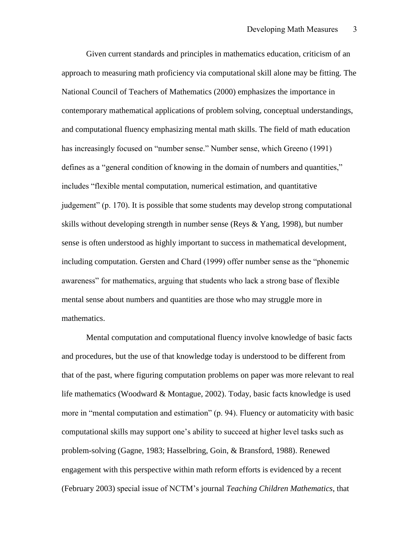Given current standards and principles in mathematics education, criticism of an approach to measuring math proficiency via computational skill alone may be fitting. The National Council of Teachers of Mathematics (2000) emphasizes the importance in contemporary mathematical applications of problem solving, conceptual understandings, and computational fluency emphasizing mental math skills. The field of math education has increasingly focused on "number sense." Number sense, which Greeno (1991) defines as a "general condition of knowing in the domain of numbers and quantities," includes "flexible mental computation, numerical estimation, and quantitative judgement" (p. 170). It is possible that some students may develop strong computational skills without developing strength in number sense (Reys & Yang, 1998), but number sense is often understood as highly important to success in mathematical development, including computation. Gersten and Chard (1999) offer number sense as the "phonemic awareness" for mathematics, arguing that students who lack a strong base of flexible mental sense about numbers and quantities are those who may struggle more in mathematics.

Mental computation and computational fluency involve knowledge of basic facts and procedures, but the use of that knowledge today is understood to be different from that of the past, where figuring computation problems on paper was more relevant to real life mathematics (Woodward & Montague, 2002). Today, basic facts knowledge is used more in "mental computation and estimation" (p. 94). Fluency or automaticity with basic computational skills may support one"s ability to succeed at higher level tasks such as problem-solving (Gagne, 1983; Hasselbring, Goin, & Bransford, 1988). Renewed engagement with this perspective within math reform efforts is evidenced by a recent (February 2003) special issue of NCTM"s journal *Teaching Children Mathematics*, that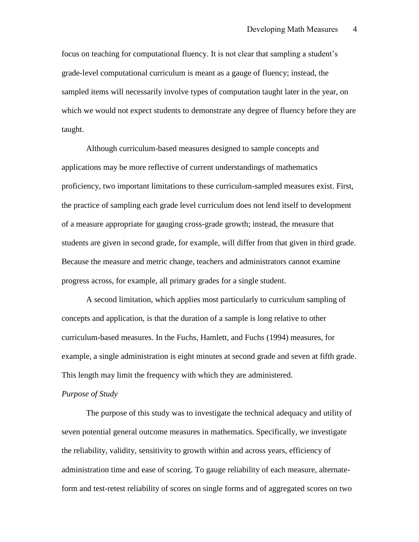focus on teaching for computational fluency. It is not clear that sampling a student"s grade-level computational curriculum is meant as a gauge of fluency; instead, the sampled items will necessarily involve types of computation taught later in the year, on which we would not expect students to demonstrate any degree of fluency before they are taught.

Although curriculum-based measures designed to sample concepts and applications may be more reflective of current understandings of mathematics proficiency, two important limitations to these curriculum-sampled measures exist. First, the practice of sampling each grade level curriculum does not lend itself to development of a measure appropriate for gauging cross-grade growth; instead, the measure that students are given in second grade, for example, will differ from that given in third grade. Because the measure and metric change, teachers and administrators cannot examine progress across, for example, all primary grades for a single student.

A second limitation, which applies most particularly to curriculum sampling of concepts and application, is that the duration of a sample is long relative to other curriculum-based measures. In the Fuchs, Hamlett, and Fuchs (1994) measures, for example, a single administration is eight minutes at second grade and seven at fifth grade. This length may limit the frequency with which they are administered.

#### *Purpose of Study*

The purpose of this study was to investigate the technical adequacy and utility of seven potential general outcome measures in mathematics. Specifically, we investigate the reliability, validity, sensitivity to growth within and across years, efficiency of administration time and ease of scoring. To gauge reliability of each measure, alternateform and test-retest reliability of scores on single forms and of aggregated scores on two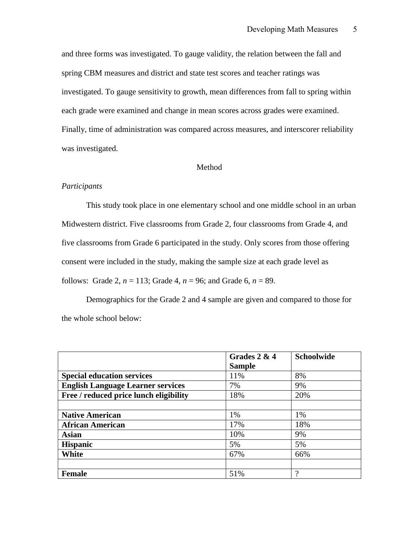and three forms was investigated. To gauge validity, the relation between the fall and spring CBM measures and district and state test scores and teacher ratings was investigated. To gauge sensitivity to growth, mean differences from fall to spring within each grade were examined and change in mean scores across grades were examined. Finally, time of administration was compared across measures, and interscorer reliability was investigated.

#### Method

#### *Participants*

This study took place in one elementary school and one middle school in an urban Midwestern district. Five classrooms from Grade 2, four classrooms from Grade 4, and five classrooms from Grade 6 participated in the study. Only scores from those offering consent were included in the study, making the sample size at each grade level as follows: Grade 2, *n* = 113; Grade 4, *n* = 96; and Grade 6, *n* = 89.

Demographics for the Grade 2 and 4 sample are given and compared to those for the whole school below:

|                                          | Grades $2 & 4$ | <b>Schoolwide</b> |
|------------------------------------------|----------------|-------------------|
|                                          | <b>Sample</b>  |                   |
| <b>Special education services</b>        | 11%            | 8%                |
| <b>English Language Learner services</b> | 7%             | 9%                |
| Free / reduced price lunch eligibility   | 18%            | 20%               |
|                                          |                |                   |
| <b>Native American</b>                   | 1%             | 1%                |
| <b>African American</b>                  | 17%            | 18%               |
| <b>Asian</b>                             | 10%            | 9%                |
| <b>Hispanic</b>                          | 5%             | 5%                |
| <b>White</b>                             | 67%            | 66%               |
|                                          |                |                   |
| <b>Female</b>                            | 51%            | റ                 |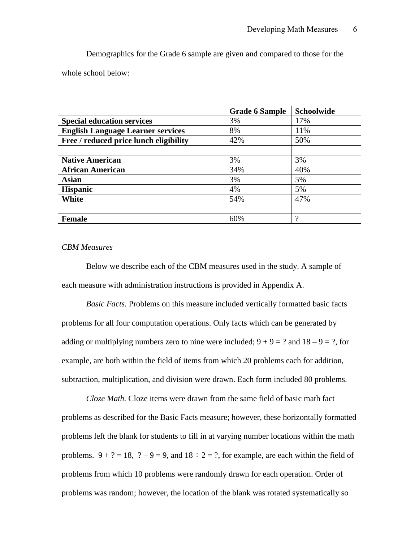Demographics for the Grade 6 sample are given and compared to those for the whole school below:

|                                          | <b>Grade 6 Sample</b> | Schoolwide |
|------------------------------------------|-----------------------|------------|
| <b>Special education services</b>        | 3%                    | 17%        |
| <b>English Language Learner services</b> | 8%                    | 11%        |
| Free / reduced price lunch eligibility   | 42%                   | 50%        |
|                                          |                       |            |
| <b>Native American</b>                   | 3%                    | 3%         |
| <b>African American</b>                  | 34%                   | 40%        |
| <b>Asian</b>                             | 3%                    | 5%         |
| <b>Hispanic</b>                          | 4%                    | 5%         |
| White                                    | 54%                   | 47%        |
|                                          |                       |            |
| <b>Female</b>                            | 60%                   | റ          |

## *CBM Measures*

Below we describe each of the CBM measures used in the study. A sample of each measure with administration instructions is provided in Appendix A.

*Basic Facts.* Problems on this measure included vertically formatted basic facts problems for all four computation operations. Only facts which can be generated by adding or multiplying numbers zero to nine were included;  $9 + 9 = ?$  and  $18 - 9 = ?$ , for example, are both within the field of items from which 20 problems each for addition, subtraction, multiplication, and division were drawn. Each form included 80 problems.

*Cloze Math.* Cloze items were drawn from the same field of basic math fact problems as described for the Basic Facts measure; however, these horizontally formatted problems left the blank for students to fill in at varying number locations within the math problems.  $9 + ? = 18$ ,  $? - 9 = 9$ , and  $18 \div 2 = ?$ , for example, are each within the field of problems from which 10 problems were randomly drawn for each operation. Order of problems was random; however, the location of the blank was rotated systematically so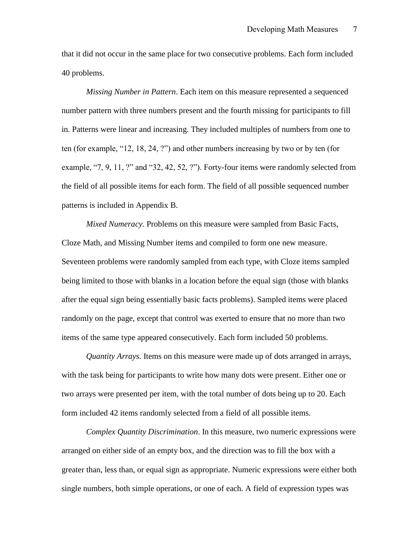that it did not occur in the same place for two consecutive problems. Each form included 40 problems.

*Missing Number in Pattern*. Each item on this measure represented a sequenced number pattern with three numbers present and the fourth missing for participants to fill in. Patterns were linear and increasing. They included multiples of numbers from one to ten (for example, "12, 18, 24, ?") and other numbers increasing by two or by ten (for example, "7, 9, 11, ?" and "32, 42, 52, ?"). Forty-four items were randomly selected from the field of all possible items for each form. The field of all possible sequenced number patterns is included in Appendix B.

*Mixed Numeracy.* Problems on this measure were sampled from Basic Facts, Cloze Math, and Missing Number items and compiled to form one new measure. Seventeen problems were randomly sampled from each type, with Cloze items sampled being limited to those with blanks in a location before the equal sign (those with blanks after the equal sign being essentially basic facts problems). Sampled items were placed randomly on the page, except that control was exerted to ensure that no more than two items of the same type appeared consecutively. Each form included 50 problems.

*Quantity Arrays.* Items on this measure were made up of dots arranged in arrays, with the task being for participants to write how many dots were present. Either one or two arrays were presented per item, with the total number of dots being up to 20. Each form included 42 items randomly selected from a field of all possible items.

*Complex Quantity Discrimination*. In this measure, two numeric expressions were arranged on either side of an empty box, and the direction was to fill the box with a greater than, less than, or equal sign as appropriate. Numeric expressions were either both single numbers, both simple operations, or one of each. A field of expression types was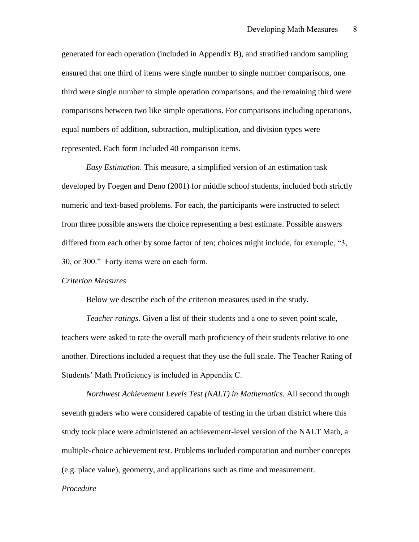generated for each operation (included in Appendix B), and stratified random sampling ensured that one third of items were single number to single number comparisons, one third were single number to simple operation comparisons, and the remaining third were comparisons between two like simple operations. For comparisons including operations, equal numbers of addition, subtraction, multiplication, and division types were represented. Each form included 40 comparison items.

*Easy Estimation*. This measure, a simplified version of an estimation task developed by Foegen and Deno (2001) for middle school students, included both strictly numeric and text-based problems. For each, the participants were instructed to select from three possible answers the choice representing a best estimate. Possible answers differed from each other by some factor of ten; choices might include, for example, "3, 30, or 300." Forty items were on each form.

#### *Criterion Measures*

Below we describe each of the criterion measures used in the study.

*Teacher ratings*. Given a list of their students and a one to seven point scale, teachers were asked to rate the overall math proficiency of their students relative to one another. Directions included a request that they use the full scale. The Teacher Rating of Students" Math Proficiency is included in Appendix C.

*Northwest Achievement Levels Test (NALT) in Mathematics.* All second through seventh graders who were considered capable of testing in the urban district where this study took place were administered an achievement-level version of the NALT Math, a multiple-choice achievement test. Problems included computation and number concepts (e.g. place value), geometry, and applications such as time and measurement.

#### *Procedure*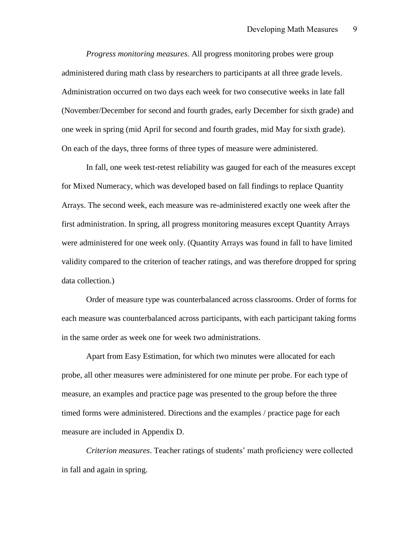*Progress monitoring measures.* All progress monitoring probes were group administered during math class by researchers to participants at all three grade levels. Administration occurred on two days each week for two consecutive weeks in late fall (November/December for second and fourth grades, early December for sixth grade) and one week in spring (mid April for second and fourth grades, mid May for sixth grade). On each of the days, three forms of three types of measure were administered.

In fall, one week test-retest reliability was gauged for each of the measures except for Mixed Numeracy, which was developed based on fall findings to replace Quantity Arrays. The second week, each measure was re-administered exactly one week after the first administration. In spring, all progress monitoring measures except Quantity Arrays were administered for one week only. (Quantity Arrays was found in fall to have limited validity compared to the criterion of teacher ratings, and was therefore dropped for spring data collection.)

Order of measure type was counterbalanced across classrooms. Order of forms for each measure was counterbalanced across participants, with each participant taking forms in the same order as week one for week two administrations.

Apart from Easy Estimation, for which two minutes were allocated for each probe, all other measures were administered for one minute per probe. For each type of measure, an examples and practice page was presented to the group before the three timed forms were administered. Directions and the examples / practice page for each measure are included in Appendix D.

*Criterion measures*. Teacher ratings of students" math proficiency were collected in fall and again in spring.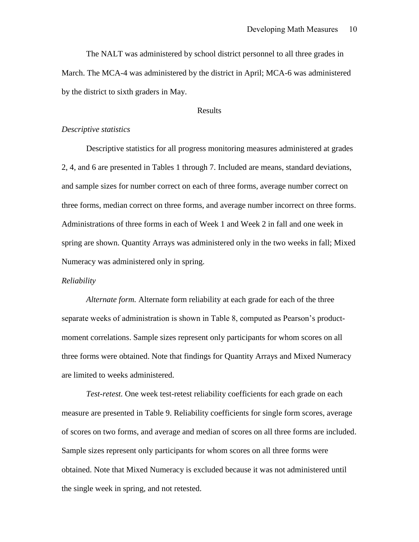The NALT was administered by school district personnel to all three grades in March. The MCA-4 was administered by the district in April; MCA-6 was administered by the district to sixth graders in May.

## Results

#### *Descriptive statistics*

Descriptive statistics for all progress monitoring measures administered at grades 2, 4, and 6 are presented in Tables 1 through 7. Included are means, standard deviations, and sample sizes for number correct on each of three forms, average number correct on three forms, median correct on three forms, and average number incorrect on three forms. Administrations of three forms in each of Week 1 and Week 2 in fall and one week in spring are shown. Quantity Arrays was administered only in the two weeks in fall; Mixed Numeracy was administered only in spring.

#### *Reliability*

*Alternate form.* Alternate form reliability at each grade for each of the three separate weeks of administration is shown in Table 8, computed as Pearson"s productmoment correlations. Sample sizes represent only participants for whom scores on all three forms were obtained. Note that findings for Quantity Arrays and Mixed Numeracy are limited to weeks administered.

*Test-retest.* One week test-retest reliability coefficients for each grade on each measure are presented in Table 9. Reliability coefficients for single form scores, average of scores on two forms, and average and median of scores on all three forms are included. Sample sizes represent only participants for whom scores on all three forms were obtained. Note that Mixed Numeracy is excluded because it was not administered until the single week in spring, and not retested.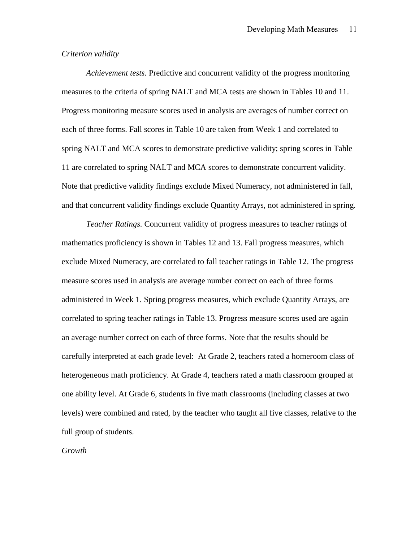## *Criterion validity*

*Achievement tests.* Predictive and concurrent validity of the progress monitoring measures to the criteria of spring NALT and MCA tests are shown in Tables 10 and 11. Progress monitoring measure scores used in analysis are averages of number correct on each of three forms. Fall scores in Table 10 are taken from Week 1 and correlated to spring NALT and MCA scores to demonstrate predictive validity; spring scores in Table 11 are correlated to spring NALT and MCA scores to demonstrate concurrent validity. Note that predictive validity findings exclude Mixed Numeracy, not administered in fall, and that concurrent validity findings exclude Quantity Arrays, not administered in spring.

*Teacher Ratings.* Concurrent validity of progress measures to teacher ratings of mathematics proficiency is shown in Tables 12 and 13. Fall progress measures, which exclude Mixed Numeracy, are correlated to fall teacher ratings in Table 12. The progress measure scores used in analysis are average number correct on each of three forms administered in Week 1. Spring progress measures, which exclude Quantity Arrays, are correlated to spring teacher ratings in Table 13. Progress measure scores used are again an average number correct on each of three forms. Note that the results should be carefully interpreted at each grade level: At Grade 2, teachers rated a homeroom class of heterogeneous math proficiency. At Grade 4, teachers rated a math classroom grouped at one ability level. At Grade 6, students in five math classrooms (including classes at two levels) were combined and rated, by the teacher who taught all five classes, relative to the full group of students.

*Growth*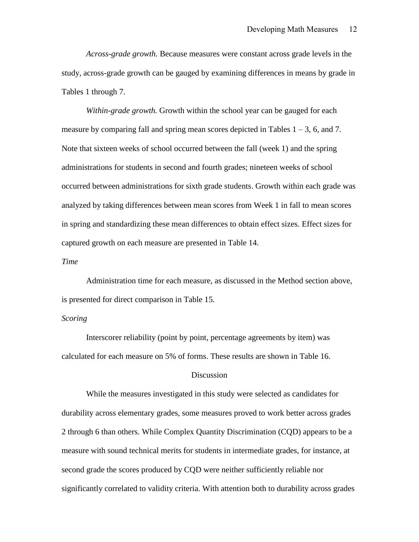*Across-grade growth.* Because measures were constant across grade levels in the study, across-grade growth can be gauged by examining differences in means by grade in Tables 1 through 7.

*Within-grade growth.* Growth within the school year can be gauged for each measure by comparing fall and spring mean scores depicted in Tables  $1 - 3$ , 6, and 7. Note that sixteen weeks of school occurred between the fall (week 1) and the spring administrations for students in second and fourth grades; nineteen weeks of school occurred between administrations for sixth grade students. Growth within each grade was analyzed by taking differences between mean scores from Week 1 in fall to mean scores in spring and standardizing these mean differences to obtain effect sizes. Effect sizes for captured growth on each measure are presented in Table 14.

## *Time*

Administration time for each measure, as discussed in the Method section above, is presented for direct comparison in Table 15.

#### *Scoring*

Interscorer reliability (point by point, percentage agreements by item) was calculated for each measure on 5% of forms. These results are shown in Table 16.

## Discussion

While the measures investigated in this study were selected as candidates for durability across elementary grades, some measures proved to work better across grades 2 through 6 than others. While Complex Quantity Discrimination (CQD) appears to be a measure with sound technical merits for students in intermediate grades, for instance, at second grade the scores produced by CQD were neither sufficiently reliable nor significantly correlated to validity criteria. With attention both to durability across grades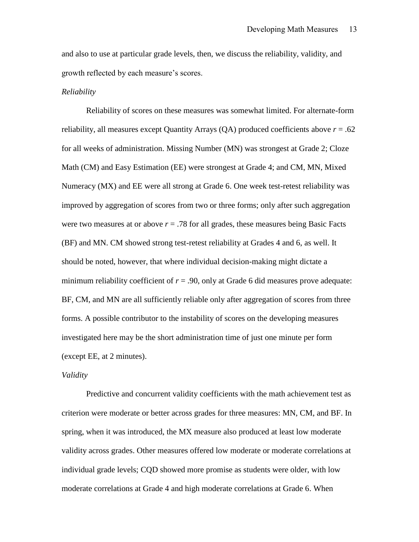and also to use at particular grade levels, then, we discuss the reliability, validity, and growth reflected by each measure"s scores.

#### *Reliability*

Reliability of scores on these measures was somewhat limited. For alternate-form reliability, all measures except Quantity Arrays  $(QA)$  produced coefficients above  $r = .62$ for all weeks of administration. Missing Number (MN) was strongest at Grade 2; Cloze Math (CM) and Easy Estimation (EE) were strongest at Grade 4; and CM, MN, Mixed Numeracy (MX) and EE were all strong at Grade 6. One week test-retest reliability was improved by aggregation of scores from two or three forms; only after such aggregation were two measures at or above *r* = .78 for all grades, these measures being Basic Facts (BF) and MN. CM showed strong test-retest reliability at Grades 4 and 6, as well. It should be noted, however, that where individual decision-making might dictate a minimum reliability coefficient of  $r = .90$ , only at Grade 6 did measures prove adequate: BF, CM, and MN are all sufficiently reliable only after aggregation of scores from three forms. A possible contributor to the instability of scores on the developing measures investigated here may be the short administration time of just one minute per form (except EE, at 2 minutes).

#### *Validity*

Predictive and concurrent validity coefficients with the math achievement test as criterion were moderate or better across grades for three measures: MN, CM, and BF. In spring, when it was introduced, the MX measure also produced at least low moderate validity across grades. Other measures offered low moderate or moderate correlations at individual grade levels; CQD showed more promise as students were older, with low moderate correlations at Grade 4 and high moderate correlations at Grade 6. When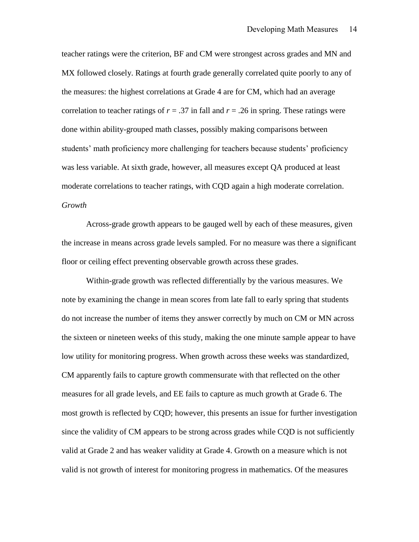teacher ratings were the criterion, BF and CM were strongest across grades and MN and MX followed closely. Ratings at fourth grade generally correlated quite poorly to any of the measures: the highest correlations at Grade 4 are for CM, which had an average correlation to teacher ratings of  $r = .37$  in fall and  $r = .26$  in spring. These ratings were done within ability-grouped math classes, possibly making comparisons between students' math proficiency more challenging for teachers because students' proficiency was less variable. At sixth grade, however, all measures except QA produced at least moderate correlations to teacher ratings, with CQD again a high moderate correlation. *Growth*

Across-grade growth appears to be gauged well by each of these measures, given the increase in means across grade levels sampled. For no measure was there a significant floor or ceiling effect preventing observable growth across these grades.

Within-grade growth was reflected differentially by the various measures. We note by examining the change in mean scores from late fall to early spring that students do not increase the number of items they answer correctly by much on CM or MN across the sixteen or nineteen weeks of this study, making the one minute sample appear to have low utility for monitoring progress. When growth across these weeks was standardized, CM apparently fails to capture growth commensurate with that reflected on the other measures for all grade levels, and EE fails to capture as much growth at Grade 6. The most growth is reflected by CQD; however, this presents an issue for further investigation since the validity of CM appears to be strong across grades while CQD is not sufficiently valid at Grade 2 and has weaker validity at Grade 4. Growth on a measure which is not valid is not growth of interest for monitoring progress in mathematics. Of the measures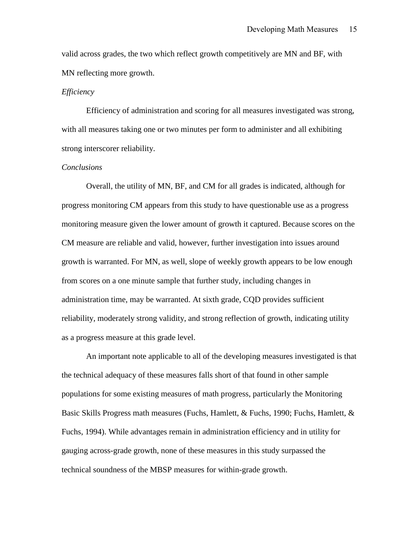valid across grades, the two which reflect growth competitively are MN and BF, with MN reflecting more growth.

## *Efficiency*

Efficiency of administration and scoring for all measures investigated was strong, with all measures taking one or two minutes per form to administer and all exhibiting strong interscorer reliability.

## *Conclusions*

Overall, the utility of MN, BF, and CM for all grades is indicated, although for progress monitoring CM appears from this study to have questionable use as a progress monitoring measure given the lower amount of growth it captured. Because scores on the CM measure are reliable and valid, however, further investigation into issues around growth is warranted. For MN, as well, slope of weekly growth appears to be low enough from scores on a one minute sample that further study, including changes in administration time, may be warranted. At sixth grade, CQD provides sufficient reliability, moderately strong validity, and strong reflection of growth, indicating utility as a progress measure at this grade level.

An important note applicable to all of the developing measures investigated is that the technical adequacy of these measures falls short of that found in other sample populations for some existing measures of math progress, particularly the Monitoring Basic Skills Progress math measures (Fuchs, Hamlett, & Fuchs, 1990; Fuchs, Hamlett, & Fuchs, 1994). While advantages remain in administration efficiency and in utility for gauging across-grade growth, none of these measures in this study surpassed the technical soundness of the MBSP measures for within-grade growth.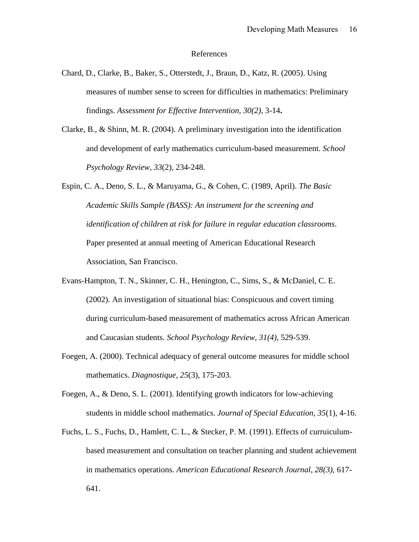#### References

- Chard, D., Clarke, B., Baker, S., Otterstedt, J., Braun, D., Katz, R. (2005). Using measures of number sense to screen for difficulties in mathematics: Preliminary findings. *Assessment for Effective Intervention, 30(2)*, 3-14**.**
- Clarke, B., & Shinn, M. R. (2004). A preliminary investigation into the identification and development of early mathematics curriculum-based measurement. *School Psychology Review, 33*(2), 234-248.

Espin, C. A., Deno, S. L., & Maruyama, G., & Cohen, C. (1989, April). *The Basic Academic Skills Sample (BASS): An instrument for the screening and identification of children at risk for failure in regular education classrooms*. Paper presented at annual meeting of American Educational Research Association, San Francisco.

- Evans-Hampton, T. N., Skinner, C. H., Henington, C., Sims, S., & McDaniel, C. E. (2002). An investigation of situational bias: Conspicuous and covert timing during curriculum-based measurement of mathematics across African American and Caucasian students. *School Psychology Review, 31(4)*, 529-539.
- Foegen, A. (2000). Technical adequacy of general outcome measures for middle school mathematics. *Diagnostique, 25*(3), 175-203.
- Foegen, A., & Deno, S. L. (2001). Identifying growth indicators for low-achieving students in middle school mathematics. *Journal of Special Education, 35*(1), 4-16.
- Fuchs, L. S., Fuchs, D., Hamlett, C. L., & Stecker, P. M. (1991). Effects of curruiculumbased measurement and consultation on teacher planning and student achievement in mathematics operations. *American Educational Research Journal, 28(3),* 617- 641.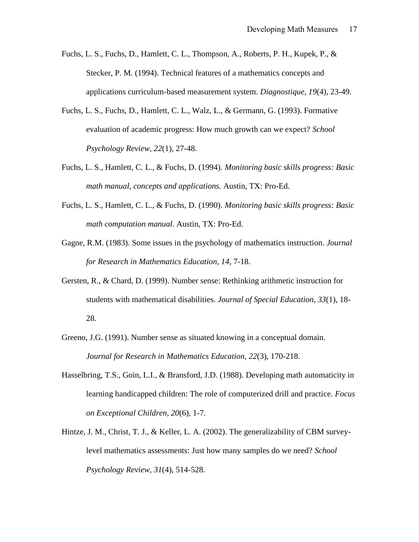- Fuchs, L. S., Fuchs, D., Hamlett, C. L., Thompson, A., Roberts, P. H., Kupek, P., & Stecker, P. M. (1994). Technical features of a mathematics concepts and applications curriculum-based measurement system. *Diagnostique, 19*(4), 23-49.
- Fuchs, L. S., Fuchs, D., Hamlett, C. L., Walz, L., & Germann, G. (1993). Formative evaluation of academic progress: How much growth can we expect? *School Psychology Review, 22*(1), 27-48.
- Fuchs, L. S., Hamlett, C. L., & Fuchs, D. (1994). *Monitoring basic skills progress: Basic math manual, concepts and applications.* Austin, TX: Pro-Ed.
- Fuchs, L. S., Hamlett, C. L., & Fuchs, D. (1990). *Monitoring basic skills progress: Basic math computation manual.* Austin, TX: Pro-Ed.
- Gagne, R.M. (1983). Some issues in the psychology of mathematics instruction. *Journal for Research in Mathematics Education, 14*, 7-18.
- Gersten, R., & Chard, D. (1999). Number sense: Rethinking arithmetic instruction for students with mathematical disabilities. *Journal of Special Education, 33*(1), 18- 28.
- Greeno, J.G. (1991). Number sense as situated knowing in a conceptual domain. *Journal for Research in Mathematics Education, 22*(3), 170-218.
- Hasselbring, T.S., Goin, L.I., & Bransford, J.D. (1988). Developing math automaticity in learning handicapped children: The role of computerized drill and practice. *Focus on Exceptional Children, 20*(6), 1-7.
- Hintze, J. M., Christ, T. J., & Keller, L. A. (2002). The generalizability of CBM surveylevel mathematics assessments: Just how many samples do we need? *School Psychology Review, 31*(4), 514-528.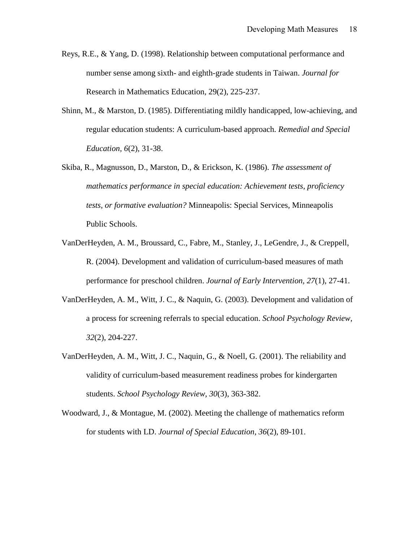- Reys, R.E., & Yang, D. (1998). Relationship between computational performance and number sense among sixth- and eighth-grade students in Taiwan. *Journal for*  Research in Mathematics Education, 29(2), 225-237.
- Shinn, M., & Marston, D. (1985). Differentiating mildly handicapped, low-achieving, and regular education students: A curriculum-based approach. *Remedial and Special Education, 6*(2), 31-38.
- Skiba, R., Magnusson, D., Marston, D., & Erickson, K. (1986). *The assessment of mathematics performance in special education: Achievement tests, proficiency tests, or formative evaluation?* Minneapolis: Special Services, Minneapolis Public Schools.
- VanDerHeyden, A. M., Broussard, C., Fabre, M., Stanley, J., LeGendre, J., & Creppell, R. (2004). Development and validation of curriculum-based measures of math performance for preschool children. *Journal of Early Intervention, 27*(1), 27-41.
- VanDerHeyden, A. M., Witt, J. C., & Naquin, G. (2003). Development and validation of a process for screening referrals to special education. *School Psychology Review, 32*(2), 204-227.
- VanDerHeyden, A. M., Witt, J. C., Naquin, G., & Noell, G. (2001). The reliability and validity of curriculum-based measurement readiness probes for kindergarten students. *School Psychology Review, 30*(3), 363-382.
- Woodward, J., & Montague, M. (2002). Meeting the challenge of mathematics reform for students with LD. *Journal of Special Education, 36*(2), 89-101.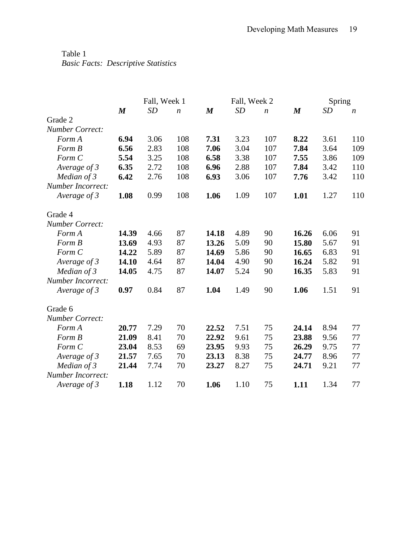# Table 1 *Basic Facts: Descriptive Statistics*

|                          | Fall, Week 1     |      |                  |                  | Fall, Week 2 |                  |                  | Spring |                  |
|--------------------------|------------------|------|------------------|------------------|--------------|------------------|------------------|--------|------------------|
|                          | $\boldsymbol{M}$ | SD   | $\boldsymbol{n}$ | $\boldsymbol{M}$ | <b>SD</b>    | $\boldsymbol{n}$ | $\boldsymbol{M}$ | SD     | $\boldsymbol{n}$ |
| Grade 2                  |                  |      |                  |                  |              |                  |                  |        |                  |
| Number Correct:          |                  |      |                  |                  |              |                  |                  |        |                  |
| Form A                   | 6.94             | 3.06 | 108              | 7.31             | 3.23         | 107              | 8.22             | 3.61   | 110              |
| Form B                   | 6.56             | 2.83 | 108              | 7.06             | 3.04         | 107              | 7.84             | 3.64   | 109              |
| Form C                   | 5.54             | 3.25 | 108              | 6.58             | 3.38         | 107              | 7.55             | 3.86   | 109              |
| Average of 3             | 6.35             | 2.72 | 108              | 6.96             | 2.88         | 107              | 7.84             | 3.42   | 110              |
| Median of 3              | 6.42             | 2.76 | 108              | 6.93             | 3.06         | 107              | 7.76             | 3.42   | 110              |
| Number Incorrect:        |                  |      |                  |                  |              |                  |                  |        |                  |
| Average of 3             | 1.08             | 0.99 | 108              | 1.06             | 1.09         | 107              | 1.01             | 1.27   | 110              |
| Grade 4                  |                  |      |                  |                  |              |                  |                  |        |                  |
| <b>Number Correct:</b>   |                  |      |                  |                  |              |                  |                  |        |                  |
| Form A                   | 14.39            | 4.66 | 87               | 14.18            | 4.89         | 90               | 16.26            | 6.06   | 91               |
| Form B                   | 13.69            | 4.93 | 87               | 13.26            | 5.09         | 90               | 15.80            | 5.67   | 91               |
| Form C                   | 14.22            | 5.89 | 87               | 14.69            | 5.86         | 90               | 16.65            | 6.83   | 91               |
| Average of 3             | 14.10            | 4.64 | 87               | 14.04            | 4.90         | 90               | 16.24            | 5.82   | 91               |
| Median of 3              | 14.05            | 4.75 | 87               | 14.07            | 5.24         | 90               | 16.35            | 5.83   | 91               |
| <b>Number Incorrect:</b> |                  |      |                  |                  |              |                  |                  |        |                  |
| Average of 3             | 0.97             | 0.84 | 87               | 1.04             | 1.49         | 90               | 1.06             | 1.51   | 91               |
| Grade 6                  |                  |      |                  |                  |              |                  |                  |        |                  |
| <b>Number Correct:</b>   |                  |      |                  |                  |              |                  |                  |        |                  |
| Form A                   | 20.77            | 7.29 | 70               | 22.52            | 7.51         | 75               | 24.14            | 8.94   | 77               |
| Form B                   | 21.09            | 8.41 | 70               | 22.92            | 9.61         | 75               | 23.88            | 9.56   | 77               |
| Form C                   | 23.04            | 8.53 | 69               | 23.95            | 9.93         | 75               | 26.29            | 9.75   | 77               |
| Average of 3             | 21.57            | 7.65 | 70               | 23.13            | 8.38         | 75               | 24.77            | 8.96   | 77               |
| Median of 3              | 21.44            | 7.74 | 70               | 23.27            | 8.27         | 75               | 24.71            | 9.21   | 77               |
| Number Incorrect:        |                  |      |                  |                  |              |                  |                  |        |                  |
| Average of 3             | 1.18             | 1.12 | 70               | 1.06             | 1.10         | 75               | 1.11             | 1.34   | 77               |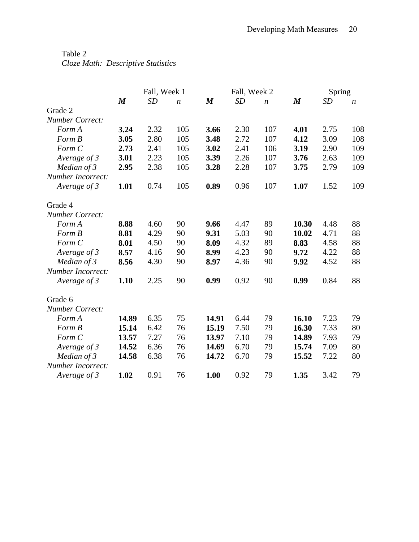# Table 2

*Cloze Math: Descriptive Statistics*

|                          | Fall, Week 1     |           |                  |                  | Fall, Week 2 |                  |                  | Spring    |                  |  |
|--------------------------|------------------|-----------|------------------|------------------|--------------|------------------|------------------|-----------|------------------|--|
|                          | $\boldsymbol{M}$ | <b>SD</b> | $\boldsymbol{n}$ | $\boldsymbol{M}$ | <b>SD</b>    | $\boldsymbol{n}$ | $\boldsymbol{M}$ | <b>SD</b> | $\boldsymbol{n}$ |  |
| Grade 2                  |                  |           |                  |                  |              |                  |                  |           |                  |  |
| <b>Number Correct:</b>   |                  |           |                  |                  |              |                  |                  |           |                  |  |
| Form A                   | 3.24             | 2.32      | 105              | 3.66             | 2.30         | 107              | 4.01             | 2.75      | 108              |  |
| Form B                   | 3.05             | 2.80      | 105              | 3.48             | 2.72         | 107              | 4.12             | 3.09      | 108              |  |
| Form C                   | 2.73             | 2.41      | 105              | 3.02             | 2.41         | 106              | 3.19             | 2.90      | 109              |  |
| Average of 3             | 3.01             | 2.23      | 105              | 3.39             | 2.26         | 107              | 3.76             | 2.63      | 109              |  |
| Median of 3              | 2.95             | 2.38      | 105              | 3.28             | 2.28         | 107              | 3.75             | 2.79      | 109              |  |
| Number Incorrect:        |                  |           |                  |                  |              |                  |                  |           |                  |  |
| Average of 3             | 1.01             | 0.74      | 105              | 0.89             | 0.96         | 107              | 1.07             | 1.52      | 109              |  |
| Grade 4                  |                  |           |                  |                  |              |                  |                  |           |                  |  |
| <b>Number Correct:</b>   |                  |           |                  |                  |              |                  |                  |           |                  |  |
| Form A                   | 8.88             | 4.60      | 90               | 9.66             | 4.47         | 89               | 10.30            | 4.48      | 88               |  |
| Form B                   | 8.81             | 4.29      | 90               | 9.31             | 5.03         | 90               | 10.02            | 4.71      | 88               |  |
| Form C                   | 8.01             | 4.50      | 90               | 8.09             | 4.32         | 89               | 8.83             | 4.58      | 88               |  |
| Average of 3             | 8.57             | 4.16      | 90               | 8.99             | 4.23         | 90               | 9.72             | 4.22      | 88               |  |
| Median of 3              | 8.56             | 4.30      | 90               | 8.97             | 4.36         | 90               | 9.92             | 4.52      | 88               |  |
| <b>Number Incorrect:</b> |                  |           |                  |                  |              |                  |                  |           |                  |  |
| Average of 3             | 1.10             | 2.25      | 90               | 0.99             | 0.92         | 90               | 0.99             | 0.84      | 88               |  |
| Grade 6                  |                  |           |                  |                  |              |                  |                  |           |                  |  |
| <b>Number Correct:</b>   |                  |           |                  |                  |              |                  |                  |           |                  |  |
| Form A                   | 14.89            | 6.35      | 75               | 14.91            | 6.44         | 79               | 16.10            | 7.23      | 79               |  |
| Form B                   | 15.14            | 6.42      | 76               | 15.19            | 7.50         | 79               | 16.30            | 7.33      | 80               |  |
| Form C                   | 13.57            | 7.27      | 76               | 13.97            | 7.10         | 79               | 14.89            | 7.93      | 79               |  |
| Average of 3             | 14.52            | 6.36      | 76               | 14.69            | 6.70         | 79               | 15.74            | 7.09      | 80               |  |
| Median of 3              | 14.58            | 6.38      | 76               | 14.72            | 6.70         | 79               | 15.52            | 7.22      | 80               |  |
| <b>Number Incorrect:</b> |                  |           |                  |                  |              |                  |                  |           |                  |  |
| Average of 3             | 1.02             | 0.91      | 76               | 1.00             | 0.92         | 79               | 1.35             | 3.42      | 79               |  |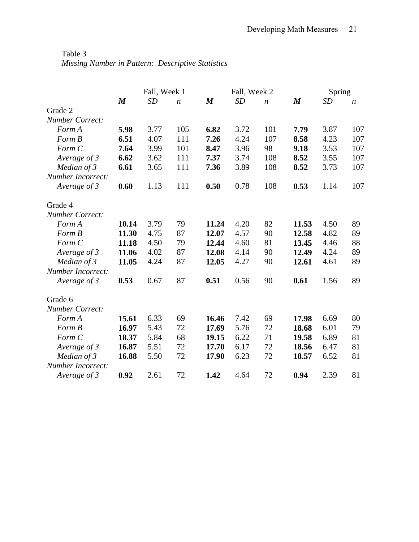| Table 3                                           |  |
|---------------------------------------------------|--|
| Missing Number in Pattern: Descriptive Statistics |  |

|                          | Fall, Week 1     |           |                  |                  | Fall, Week 2 |                  |                  | Spring |                  |  |
|--------------------------|------------------|-----------|------------------|------------------|--------------|------------------|------------------|--------|------------------|--|
|                          | $\boldsymbol{M}$ | <b>SD</b> | $\boldsymbol{n}$ | $\boldsymbol{M}$ | <b>SD</b>    | $\boldsymbol{n}$ | $\boldsymbol{M}$ | SD     | $\boldsymbol{n}$ |  |
| Grade 2                  |                  |           |                  |                  |              |                  |                  |        |                  |  |
| <b>Number Correct:</b>   |                  |           |                  |                  |              |                  |                  |        |                  |  |
| Form A                   | 5.98             | 3.77      | 105              | 6.82             | 3.72         | 101              | 7.79             | 3.87   | 107              |  |
| Form B                   | 6.51             | 4.07      | 111              | 7.26             | 4.24         | 107              | 8.58             | 4.23   | 107              |  |
| Form C                   | 7.64             | 3.99      | 101              | 8.47             | 3.96         | 98               | 9.18             | 3.53   | 107              |  |
| Average of 3             | 6.62             | 3.62      | 111              | 7.37             | 3.74         | 108              | 8.52             | 3.55   | 107              |  |
| Median of 3              | 6.61             | 3.65      | 111              | 7.36             | 3.89         | 108              | 8.52             | 3.73   | 107              |  |
| Number Incorrect:        |                  |           |                  |                  |              |                  |                  |        |                  |  |
| Average of 3             | 0.60             | 1.13      | 111              | 0.50             | 0.78         | 108              | 0.53             | 1.14   | 107              |  |
| Grade 4                  |                  |           |                  |                  |              |                  |                  |        |                  |  |
| Number Correct:          |                  |           |                  |                  |              |                  |                  |        |                  |  |
| Form A                   | 10.14            | 3.79      | 79               | 11.24            | 4.20         | 82               | 11.53            | 4.50   | 89               |  |
| Form B                   | 11.30            | 4.75      | 87               | 12.07            | 4.57         | 90               | 12.58            | 4.82   | 89               |  |
| Form C                   | 11.18            | 4.50      | 79               | 12.44            | 4.60         | 81               | 13.45            | 4.46   | 88               |  |
| Average of 3             | 11.06            | 4.02      | 87               | 12.08            | 4.14         | 90               | 12.49            | 4.24   | 89               |  |
| Median of 3              | 11.05            | 4.24      | 87               | 12.05            | 4.27         | 90               | 12.61            | 4.61   | 89               |  |
| <b>Number Incorrect:</b> |                  |           |                  |                  |              |                  |                  |        |                  |  |
| Average of 3             | 0.53             | 0.67      | 87               | 0.51             | 0.56         | 90               | 0.61             | 1.56   | 89               |  |
| Grade 6                  |                  |           |                  |                  |              |                  |                  |        |                  |  |
| <b>Number Correct:</b>   |                  |           |                  |                  |              |                  |                  |        |                  |  |
| Form A                   | 15.61            | 6.33      | 69               | 16.46            | 7.42         | 69               | 17.98            | 6.69   | 80               |  |
| Form B                   | 16.97            | 5.43      | 72               | 17.69            | 5.76         | 72               | 18.68            | 6.01   | 79               |  |
| Form C                   | 18.37            | 5.84      | 68               | 19.15            | 6.22         | 71               | 19.58            | 6.89   | 81               |  |
| Average of 3             | 16.87            | 5.51      | 72               | 17.70            | 6.17         | 72               | 18.56            | 6.47   | 81               |  |
| Median of 3              | 16.88            | 5.50      | 72               | 17.90            | 6.23         | 72               | 18.57            | 6.52   | 81               |  |
| <b>Number Incorrect:</b> |                  |           |                  |                  |              |                  |                  |        |                  |  |
| Average of 3             | 0.92             | 2.61      | 72               | 1.42             | 4.64         | 72               | 0.94             | 2.39   | 81               |  |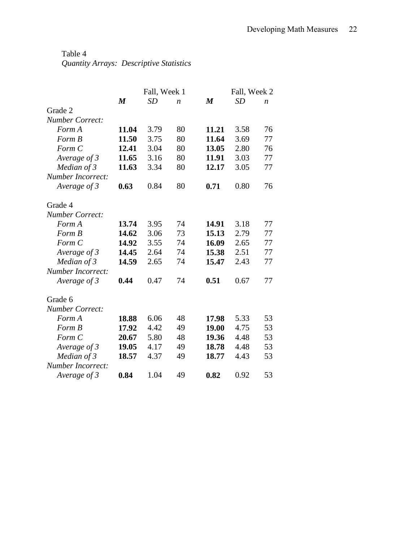# Table 4 *Quantity Arrays: Descriptive Statistics*

|                          |                  | Fall, Week 1 |    |                  | Fall, Week 2 |    |
|--------------------------|------------------|--------------|----|------------------|--------------|----|
|                          | $\boldsymbol{M}$ | <b>SD</b>    | n  | $\boldsymbol{M}$ | <b>SD</b>    | n  |
| Grade 2                  |                  |              |    |                  |              |    |
| <b>Number Correct:</b>   |                  |              |    |                  |              |    |
| Form A                   | 11.04            | 3.79         | 80 | 11.21            | 3.58         | 76 |
| Form B                   | 11.50            | 3.75         | 80 | 11.64            | 3.69         | 77 |
| Form C                   | 12.41            | 3.04         | 80 | 13.05            | 2.80         | 76 |
| Average of 3             | 11.65            | 3.16         | 80 | 11.91            | 3.03         | 77 |
| Median of 3              | 11.63            | 3.34         | 80 | 12.17            | 3.05         | 77 |
| <b>Number Incorrect:</b> |                  |              |    |                  |              |    |
| Average of 3             | 0.63             | 0.84         | 80 | 0.71             | 0.80         | 76 |
| Grade 4                  |                  |              |    |                  |              |    |
| <b>Number Correct:</b>   |                  |              |    |                  |              |    |
| Form A                   | 13.74            | 3.95         | 74 | 14.91            | 3.18         | 77 |
| Form B                   | 14.62            | 3.06         | 73 | 15.13            | 2.79         | 77 |
| Form C                   | 14.92            | 3.55         | 74 | 16.09            | 2.65         | 77 |
| Average of 3             | 14.45            | 2.64         | 74 | 15.38            | 2.51         | 77 |
| Median of 3              | 14.59            | 2.65         | 74 | 15.47            | 2.43         | 77 |
| <b>Number Incorrect:</b> |                  |              |    |                  |              |    |
| Average of 3             | 0.44             | 0.47         | 74 | 0.51             | 0.67         | 77 |
| Grade 6                  |                  |              |    |                  |              |    |
| <b>Number Correct:</b>   |                  |              |    |                  |              |    |
| Form A                   | 18.88            | 6.06         | 48 | 17.98            | 5.33         | 53 |
| Form B                   | 17.92            | 4.42         | 49 | 19.00            | 4.75         | 53 |
| Form C                   | 20.67            | 5.80         | 48 | 19.36            | 4.48         | 53 |
| Average of 3             | 19.05            | 4.17         | 49 | 18.78            | 4.48         | 53 |
| Median of 3              | 18.57            | 4.37         | 49 | 18.77            | 4.43         | 53 |
| <b>Number Incorrect:</b> |                  |              |    |                  |              |    |
| Average of 3             | 0.84             | 1.04         | 49 | 0.82             | 0.92         | 53 |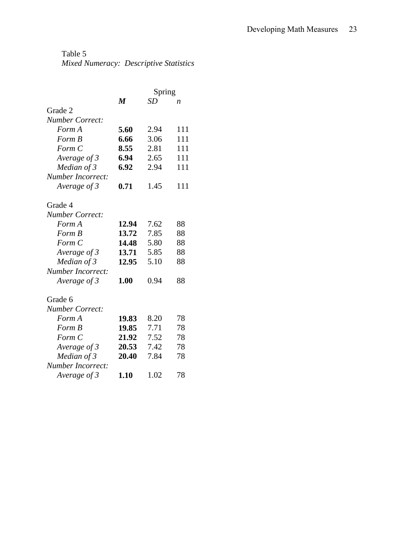# Table 5 *Mixed Numeracy: Descriptive Statistics*

|                          | Spring |           |     |  |  |
|--------------------------|--------|-----------|-----|--|--|
|                          | M      | <b>SD</b> | n   |  |  |
| Grade 2                  |        |           |     |  |  |
| <b>Number Correct:</b>   |        |           |     |  |  |
| Form A                   | 5.60   | 2.94      | 111 |  |  |
| Form B                   | 6.66   | 3.06      | 111 |  |  |
| Form C                   | 8.55   | 2.81      | 111 |  |  |
| Average of 3             | 6.94   | 2.65      | 111 |  |  |
| Median of 3              | 6.92   | 2.94      | 111 |  |  |
| <b>Number Incorrect:</b> |        |           |     |  |  |
| Average of 3             | 0.71   | 1.45      | 111 |  |  |
| Grade 4                  |        |           |     |  |  |
| <b>Number Correct:</b>   |        |           |     |  |  |
| Form A                   | 12.94  | 7.62      | 88  |  |  |
| Form B                   | 13.72  | 7.85      | 88  |  |  |
| Form C                   | 14.48  | 5.80      | 88  |  |  |
| Average of 3             | 13.71  | 5.85      | 88  |  |  |
| Median of 3              | 12.95  | 5.10      | 88  |  |  |
| <b>Number Incorrect:</b> |        |           |     |  |  |
| Average of 3             | 1.00   | 0.94      | 88  |  |  |
| Grade 6                  |        |           |     |  |  |
| <b>Number Correct:</b>   |        |           |     |  |  |
| Form A                   | 19.83  | 8.20      | 78  |  |  |
| Form B                   | 19.85  | 7.71      | 78  |  |  |
| Form C                   | 21.92  | 7.52      | 78  |  |  |
| Average of 3             | 20.53  | 7.42      | 78  |  |  |
| Median of 3              | 20.40  | 7.84      | 78  |  |  |
| <b>Number Incorrect:</b> |        |           |     |  |  |
| Average of 3             | 1.10   | 1.02      | 78  |  |  |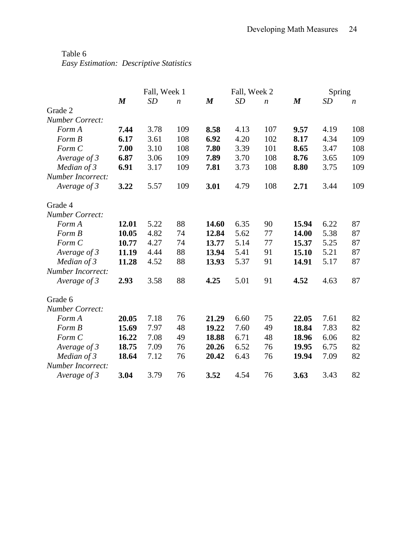| Table 6                                        |  |
|------------------------------------------------|--|
| <b>Easy Estimation: Descriptive Statistics</b> |  |

|                          | Fall, Week 1     |           |                  |                  | Fall, Week 2 |                  | Spring           |      |                  |
|--------------------------|------------------|-----------|------------------|------------------|--------------|------------------|------------------|------|------------------|
|                          | $\boldsymbol{M}$ | <b>SD</b> | $\boldsymbol{n}$ | $\boldsymbol{M}$ | <b>SD</b>    | $\boldsymbol{n}$ | $\boldsymbol{M}$ | SD   | $\boldsymbol{n}$ |
| Grade 2                  |                  |           |                  |                  |              |                  |                  |      |                  |
| <b>Number Correct:</b>   |                  |           |                  |                  |              |                  |                  |      |                  |
| Form A                   | 7.44             | 3.78      | 109              | 8.58             | 4.13         | 107              | 9.57             | 4.19 | 108              |
| Form B                   | 6.17             | 3.61      | 108              | 6.92             | 4.20         | 102              | 8.17             | 4.34 | 109              |
| Form C                   | 7.00             | 3.10      | 108              | 7.80             | 3.39         | 101              | 8.65             | 3.47 | 108              |
| Average of 3             | 6.87             | 3.06      | 109              | 7.89             | 3.70         | 108              | 8.76             | 3.65 | 109              |
| Median of 3              | 6.91             | 3.17      | 109              | 7.81             | 3.73         | 108              | 8.80             | 3.75 | 109              |
| <b>Number Incorrect:</b> |                  |           |                  |                  |              |                  |                  |      |                  |
| Average of 3             | 3.22             | 5.57      | 109              | 3.01             | 4.79         | 108              | 2.71             | 3.44 | 109              |
| Grade 4                  |                  |           |                  |                  |              |                  |                  |      |                  |
| Number Correct:          |                  |           |                  |                  |              |                  |                  |      |                  |
| Form A                   | 12.01            | 5.22      | 88               | 14.60            | 6.35         | 90               | 15.94            | 6.22 | 87               |
| Form B                   | 10.05            | 4.82      | 74               | 12.84            | 5.62         | 77               | 14.00            | 5.38 | 87               |
| Form C                   | 10.77            | 4.27      | 74               | 13.77            | 5.14         | 77               | 15.37            | 5.25 | 87               |
| Average of 3             | 11.19            | 4.44      | 88               | 13.94            | 5.41         | 91               | 15.10            | 5.21 | 87               |
| Median of 3              | 11.28            | 4.52      | 88               | 13.93            | 5.37         | 91               | 14.91            | 5.17 | 87               |
| <b>Number Incorrect:</b> |                  |           |                  |                  |              |                  |                  |      |                  |
| Average of 3             | 2.93             | 3.58      | 88               | 4.25             | 5.01         | 91               | 4.52             | 4.63 | 87               |
| Grade 6                  |                  |           |                  |                  |              |                  |                  |      |                  |
| Number Correct:          |                  |           |                  |                  |              |                  |                  |      |                  |
| Form A                   | 20.05            | 7.18      | 76               | 21.29            | 6.60         | 75               | 22.05            | 7.61 | 82               |
| Form B                   | 15.69            | 7.97      | 48               | 19.22            | 7.60         | 49               | 18.84            | 7.83 | 82               |
| Form C                   | 16.22            | 7.08      | 49               | 18.88            | 6.71         | 48               | 18.96            | 6.06 | 82               |
| Average of 3             | 18.75            | 7.09      | 76               | 20.26            | 6.52         | 76               | 19.95            | 6.75 | 82               |
| Median of 3              | 18.64            | 7.12      | 76               | 20.42            | 6.43         | 76               | 19.94            | 7.09 | 82               |
| Number Incorrect:        |                  |           |                  |                  |              |                  |                  |      |                  |
| Average of 3             | 3.04             | 3.79      | 76               | 3.52             | 4.54         | 76               | 3.63             | 3.43 | 82               |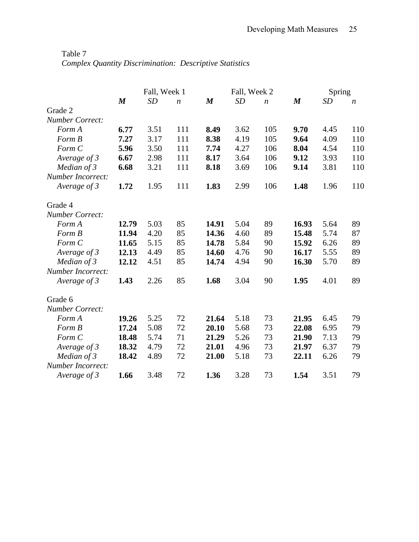| Table 7                                                        |  |
|----------------------------------------------------------------|--|
| <b>Complex Quantity Discrimination: Descriptive Statistics</b> |  |

|                          | Fall, Week 1     |           |                  | Fall, Week 2     |           |                  | Spring           |           |                  |
|--------------------------|------------------|-----------|------------------|------------------|-----------|------------------|------------------|-----------|------------------|
|                          | $\boldsymbol{M}$ | <b>SD</b> | $\boldsymbol{n}$ | $\boldsymbol{M}$ | <b>SD</b> | $\boldsymbol{n}$ | $\boldsymbol{M}$ | <b>SD</b> | $\boldsymbol{n}$ |
| Grade 2                  |                  |           |                  |                  |           |                  |                  |           |                  |
| <b>Number Correct:</b>   |                  |           |                  |                  |           |                  |                  |           |                  |
| Form A                   | 6.77             | 3.51      | 111              | 8.49             | 3.62      | 105              | 9.70             | 4.45      | 110              |
| Form B                   | 7.27             | 3.17      | 111              | 8.38             | 4.19      | 105              | 9.64             | 4.09      | 110              |
| Form C                   | 5.96             | 3.50      | 111              | 7.74             | 4.27      | 106              | 8.04             | 4.54      | 110              |
| Average of 3             | 6.67             | 2.98      | 111              | 8.17             | 3.64      | 106              | 9.12             | 3.93      | 110              |
| Median of 3              | 6.68             | 3.21      | 111              | 8.18             | 3.69      | 106              | 9.14             | 3.81      | 110              |
| Number Incorrect:        |                  |           |                  |                  |           |                  |                  |           |                  |
| Average of 3             | 1.72             | 1.95      | 111              | 1.83             | 2.99      | 106              | 1.48             | 1.96      | 110              |
| Grade 4                  |                  |           |                  |                  |           |                  |                  |           |                  |
| <b>Number Correct:</b>   |                  |           |                  |                  |           |                  |                  |           |                  |
| Form A                   | 12.79            | 5.03      | 85               | 14.91            | 5.04      | 89               | 16.93            | 5.64      | 89               |
| Form B                   | 11.94            | 4.20      | 85               | 14.36            | 4.60      | 89               | 15.48            | 5.74      | 87               |
| Form C                   | 11.65            | 5.15      | 85               | 14.78            | 5.84      | 90               | 15.92            | 6.26      | 89               |
| Average of 3             | 12.13            | 4.49      | 85               | 14.60            | 4.76      | 90               | 16.17            | 5.55      | 89               |
| Median of 3              | 12.12            | 4.51      | 85               | 14.74            | 4.94      | 90               | 16.30            | 5.70      | 89               |
| Number Incorrect:        |                  |           |                  |                  |           |                  |                  |           |                  |
| Average of 3             | 1.43             | 2.26      | 85               | 1.68             | 3.04      | 90               | 1.95             | 4.01      | 89               |
| Grade 6                  |                  |           |                  |                  |           |                  |                  |           |                  |
| <b>Number Correct:</b>   |                  |           |                  |                  |           |                  |                  |           |                  |
| Form A                   | 19.26            | 5.25      | 72               | 21.64            | 5.18      | 73               | 21.95            | 6.45      | 79               |
| Form B                   | 17.24            | 5.08      | 72               | 20.10            | 5.68      | 73               | 22.08            | 6.95      | 79               |
| Form C                   | 18.48            | 5.74      | 71               | 21.29            | 5.26      | 73               | 21.90            | 7.13      | 79               |
| Average of 3             | 18.32            | 4.79      | 72               | 21.01            | 4.96      | 73               | 21.97            | 6.37      | 79               |
| Median of 3              | 18.42            | 4.89      | 72               | 21.00            | 5.18      | 73               | 22.11            | 6.26      | 79               |
| <b>Number Incorrect:</b> |                  |           |                  |                  |           |                  |                  |           |                  |
| Average of 3             | 1.66             | 3.48      | 72               | 1.36             | 3.28      | 73               | 1.54             | 3.51      | 79               |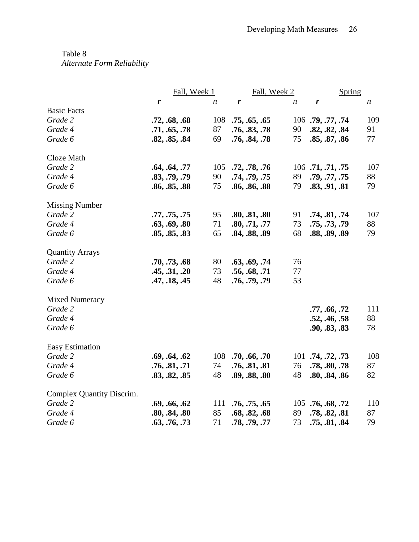## Table 8 *Alternate Form Reliability*

|                           | Fall, Week 1  | Fall, Week 2 |               | Spring |                   |  |                  |
|---------------------------|---------------|--------------|---------------|--------|-------------------|--|------------------|
|                           | r             | n            | r             | n      | r                 |  | $\boldsymbol{n}$ |
| <b>Basic Facts</b>        |               |              |               |        |                   |  |                  |
| Grade 2                   | .72, .68, .68 | 108          | .75, .65, .65 |        | 106 .79, .77, .74 |  | 109              |
| Grade 4                   | .71, .65, .78 | 87           | .76, .83, .78 | 90     | .82, .82, .84     |  | 91               |
| Grade 6                   | .82, .85, .84 | 69           | .76, .84, .78 | 75     | .85, .87, .86     |  | 77               |
| Cloze Math                |               |              |               |        |                   |  |                  |
| Grade 2                   | .64, .64, .77 | 105          | .72, .78, .76 |        | 106 .71, .71, .75 |  | 107              |
| Grade 4                   | .83, .79, .79 | 90           | .74, .79, .75 | 89     | .79, .77, .75     |  | 88               |
| Grade 6                   | .86, .85, .88 | 75           | .86, .86, .88 | 79     | .83, .91, .81     |  | 79               |
| <b>Missing Number</b>     |               |              |               |        |                   |  |                  |
| Grade 2                   | .77, .75, .75 | 95           | .80, .81, .80 | 91     | .74, .81, .74     |  | 107              |
| Grade 4                   | .63, .69, .80 | 71           | .80, .71, .77 | 73     | .75, .73, .79     |  | 88               |
| Grade 6                   | .85, .85, .83 | 65           | .84, .88, .89 | 68     | .88, .89, .89     |  | 79               |
| <b>Quantity Arrays</b>    |               |              |               |        |                   |  |                  |
| Grade 2                   | .70, .73, .68 | 80           | .63, .69, .74 | 76     |                   |  |                  |
| Grade 4                   | .45, .31, .20 | 73           | .56, .68, .71 | 77     |                   |  |                  |
| Grade 6                   | .47, .18, .45 | 48           | .76, .79, .79 | 53     |                   |  |                  |
| <b>Mixed Numeracy</b>     |               |              |               |        |                   |  |                  |
| Grade 2                   |               |              |               |        | .77, .66, .72     |  | 111              |
| Grade 4                   |               |              |               |        | .52, .46, .58     |  | 88               |
| Grade 6                   |               |              |               |        | .90, .83, .83     |  | 78               |
| <b>Easy Estimation</b>    |               |              |               |        |                   |  |                  |
| Grade 2                   | .69, .64, .62 | 108          | .70, .66, .70 |        | 101 .74, .72, .73 |  | 108              |
| Grade 4                   | .76, .81, .71 | 74           | .76, .81, .81 | 76     | .78, .80, .78     |  | 87               |
| Grade 6                   | .83, .82, .85 | 48           | .89, .88, .80 | 48     | .80, .84, .86     |  | 82               |
| Complex Quantity Discrim. |               |              |               |        |                   |  |                  |
| Grade 2                   | .69, .66, .62 | 111          | .76, .75, .65 |        | 105 .76, .68, .72 |  | 110              |
| Grade 4                   | .80, .84, .80 | 85           | .68, .82, .68 | 89     | .78, .82, .81     |  | 87               |
| Grade 6                   | .63, .76, .73 | 71           | .78, .79, .77 | 73     | .75, .81, .84     |  | 79               |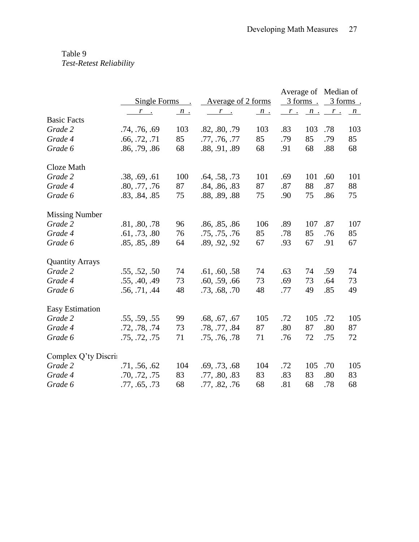# Table 9 *Test-Retest Reliability*

|                        |                     |       |                    |       |                                           |     | Average of Median of |         |
|------------------------|---------------------|-------|--------------------|-------|-------------------------------------------|-----|----------------------|---------|
|                        | <b>Single Forms</b> |       | Average of 2 forms |       | $3$ forms.                                |     | 3 forms.             |         |
|                        | $r_{\cdot \cdot}$   | $n$ . | $r$ .              | $n$ . | $\frac{r}{r}$ $\frac{n}{r}$ $\frac{r}{r}$ |     |                      | $n_{-}$ |
| <b>Basic Facts</b>     |                     |       |                    |       |                                           |     |                      |         |
| Grade 2                | .74, .76, .69       | 103   | .82, .80, .79      | 103   | .83                                       | 103 | .78                  | 103     |
| Grade 4                | .66, .72, .71       | 85    | .77, .76, .77      | 85    | .79                                       | 85  | .79                  | 85      |
| Grade 6                | .86, .79, .86       | 68    | .88, .91, .89      | 68    | .91                                       | 68  | .88                  | 68      |
| Cloze Math             |                     |       |                    |       |                                           |     |                      |         |
| Grade 2                | .38, .69, .61       | 100   | .64, .58, .73      | 101   | .69                                       | 101 | .60                  | 101     |
| Grade 4                | .80, .77, .76       | 87    | .84, .86, .83      | 87    | .87                                       | 88  | .87                  | 88      |
| Grade 6                | .83, .84, .85       | 75    | .88, .89, .88      | 75    | .90                                       | 75  | .86                  | 75      |
| <b>Missing Number</b>  |                     |       |                    |       |                                           |     |                      |         |
| Grade 2                | .81, .80, .78       | 96    | .86, .85, .86      | 106   | .89                                       | 107 | .87                  | 107     |
| Grade 4                | .61, .73, .80       | 76    | .75, .75, .76      | 85    | .78                                       | 85  | .76                  | 85      |
| Grade 6                | .85, .85, .89       | 64    | .89, .92, .92      | 67    | .93                                       | 67  | .91                  | 67      |
| <b>Quantity Arrays</b> |                     |       |                    |       |                                           |     |                      |         |
| Grade 2                | .55, .52, .50       | 74    | .61, .60, .58      | 74    | .63                                       | 74  | .59                  | 74      |
| Grade 4                | .55, .40, .49       | 73    | .60, .59, .66      | 73    | .69                                       | 73  | .64                  | 73      |
| Grade 6                | .56, .71, .44       | 48    | .73, .68, .70      | 48    | .77                                       | 49  | .85                  | 49      |
| <b>Easy Estimation</b> |                     |       |                    |       |                                           |     |                      |         |
| Grade 2                | .55, .59, .55       | 99    | .68, .67, .67      | 105   | .72                                       | 105 | .72                  | 105     |
| Grade 4                | .72, .78, .74       | 73    | .78, .77, .84      | 87    | .80                                       | 87  | .80                  | 87      |
| Grade 6                | .75, .72, .75       | 71    | .75, .76, .78      | 71    | .76                                       | 72  | .75                  | 72      |
| Complex Q'ty Discrii   |                     |       |                    |       |                                           |     |                      |         |
| Grade 2                | .71, .56, .62       | 104   | .69, .73, .68      | 104   | .72                                       | 105 | .70                  | 105     |
| Grade 4                | .70, .72, .75       | 83    | .77, .80, .83      | 83    | .83                                       | 83  | .80                  | 83      |
| Grade 6                | .77, .65, .73       | 68    | .77, .82, .76      | 68    | .81                                       | 68  | .78                  | 68      |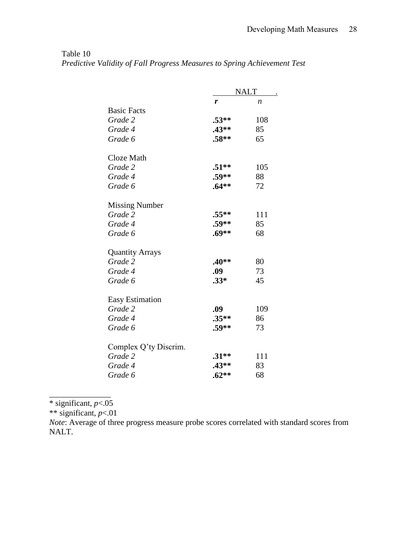## Table 10

*Predictive Validity of Fall Progress Measures to Spring Achievement Test*

|                        |          | <b>NALT</b> |
|------------------------|----------|-------------|
|                        | r        | n           |
| <b>Basic Facts</b>     |          |             |
| Grade 2                | $.53**$  | 108         |
| Grade 4                | $.43**$  | 85          |
| Grade 6                | $.58**$  | 65          |
| Cloze Math             |          |             |
| Grade 2                | $.51**$  | 105         |
| Grade 4                | $.59**$  | 88          |
| Grade 6                | $.64***$ | 72          |
| <b>Missing Number</b>  |          |             |
| Grade 2                | $.55***$ | 111         |
| Grade 4                | $.59**$  | 85          |
| Grade 6                | $.69**$  | 68          |
| <b>Quantity Arrays</b> |          |             |
| Grade 2                | $.40**$  | 80          |
| Grade 4                | .09      | 73          |
| Grade 6                | $.33*$   | 45          |
| <b>Easy Estimation</b> |          |             |
| Grade 2                | .09      | 109         |
| Grade 4                | $.35**$  | 86          |
| Grade 6                | $.59**$  | 73          |
| Complex Q'ty Discrim.  |          |             |
| Grade 2                | $.31**$  | 111         |
| Grade 4                | $.43**$  | 83          |
| Grade 6                | $.62**$  | 68          |

\_\_\_\_\_\_\_\_\_\_\_\_\_\_\_ \* significant, *p*<.05

\*\* significant,  $p<.01$ 

*Note*: Average of three progress measure probe scores correlated with standard scores from NALT.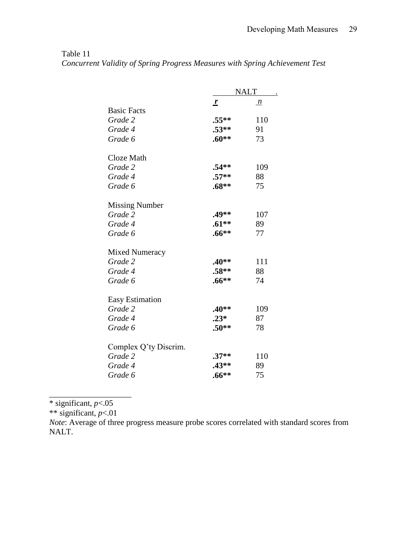## Table 11

*Concurrent Validity of Spring Progress Measures with Spring Achievement Test*

|                        |              | <b>NALT</b>    |
|------------------------|--------------|----------------|
|                        | $\mathbf{r}$ | $\overline{n}$ |
| <b>Basic Facts</b>     |              |                |
| Grade 2                | $.55***$     | 110            |
| Grade 4                | $.53**$      | 91             |
| Grade 6                | $.60**$      | 73             |
| Cloze Math             |              |                |
| Grade 2                | .54**        | 109            |
| Grade 4                | $.57**$      | 88             |
| Grade 6                | $.68**$      | 75             |
| <b>Missing Number</b>  |              |                |
| Grade 2                | .49**        | 107            |
| Grade 4                | $.61**$      | 89             |
| Grade 6                | $.66***$     | 77             |
| <b>Mixed Numeracy</b>  |              |                |
| Grade 2                | .40**        | 111            |
| Grade 4                | $.58**$      | 88             |
| Grade 6                | $.66***$     | 74             |
| <b>Easy Estimation</b> |              |                |
| Grade 2                | .40**        | 109            |
| Grade 4                | $.23*$       | 87             |
| Grade 6                | $.50**$      | 78             |
| Complex Q'ty Discrim.  |              |                |
| Grade 2                | $.37**$      | 110            |
| Grade 4                | $.43**$      | 89             |
| Grade 6                | $.66***$     | 75             |

\* significant, *p*<.05

\_\_\_\_\_\_\_\_\_\_\_\_\_\_\_\_\_\_\_\_

\*\* significant,  $p<.01$ 

*Note*: Average of three progress measure probe scores correlated with standard scores from NALT.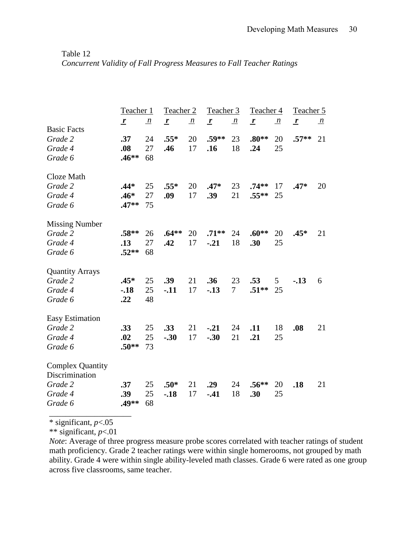|                         | Teacher 1    |                 | Teacher 2    |                 | Teacher 3    |                 | Teacher 4    |                 | Teacher 5    |                 |
|-------------------------|--------------|-----------------|--------------|-----------------|--------------|-----------------|--------------|-----------------|--------------|-----------------|
|                         | $\mathbf{r}$ | $\underline{n}$ | $\mathbf{r}$ | $\underline{n}$ | $\mathbf{r}$ | $\underline{n}$ | $\mathbf{r}$ | $\underline{n}$ | $\mathbf{r}$ | $\underline{n}$ |
| <b>Basic Facts</b>      |              |                 |              |                 |              |                 |              |                 |              |                 |
| Grade 2                 | .37          | 24              | $.55*$       | 20              | $.59**$      | 23              | $.80**$      | 20              | $.57**$      | 21              |
| Grade 4                 | .08          | 27              | .46          | 17              | .16          | 18              | .24          | 25              |              |                 |
| Grade 6                 | $.46**$      | 68              |              |                 |              |                 |              |                 |              |                 |
| Cloze Math              |              |                 |              |                 |              |                 |              |                 |              |                 |
| Grade 2                 | $.44*$       | 25              | $.55*$       | 20              | $.47*$       | 23              | $.74**$      | 17              | $.47*$       | 20              |
| Grade 4                 | $.46*$       | 27              | .09          | 17              | .39          | 21              | $.55***$     | 25              |              |                 |
| Grade 6                 | $.47**$      | 75              |              |                 |              |                 |              |                 |              |                 |
| <b>Missing Number</b>   |              |                 |              |                 |              |                 |              |                 |              |                 |
| Grade 2                 | $.58**$      | 26              | $.64**$      | 20              | $.71**$      | 24              | $.60**$      | 20              | $.45*$       | 21              |
| Grade 4                 | .13          | 27              | .42          | 17              | $-.21$       | 18              | .30          | 25              |              |                 |
| Grade 6                 | $.52**$      | 68              |              |                 |              |                 |              |                 |              |                 |
| <b>Quantity Arrays</b>  |              |                 |              |                 |              |                 |              |                 |              |                 |
| Grade 2                 | $.45*$       | 25              | .39          | 21              | .36          | 23              | .53          | 5               | $-.13$       | 6               |
| Grade 4                 | $-18$        | 25              | $-11$        | 17              | $-13$        | $\overline{7}$  | $.51**$      | 25              |              |                 |
| Grade 6                 | .22          | 48              |              |                 |              |                 |              |                 |              |                 |
| <b>Easy Estimation</b>  |              |                 |              |                 |              |                 |              |                 |              |                 |
| Grade 2                 | .33          | 25              | .33          | 21              | $-0.21$      | 24              | .11          | 18              | .08          | 21              |
| Grade 4                 | .02          | 25              | $-.30$       | 17              | $-.30$       | 21              | .21          | 25              |              |                 |
| Grade 6                 | $.50**$      | 73              |              |                 |              |                 |              |                 |              |                 |
| <b>Complex Quantity</b> |              |                 |              |                 |              |                 |              |                 |              |                 |
| Discrimination          |              |                 |              |                 |              |                 |              |                 |              |                 |
| Grade 2                 | .37          | 25              | $.50*$       | 21              | .29          | 24              | $.56**$      | 20              | .18          | 21              |
| Grade 4                 | .39          | 25              | $-.18$       | 17              | $-.41$       | 18              | .30          | 25              |              |                 |
| Grade 6                 | .49**        | 68              |              |                 |              |                 |              |                 |              |                 |

Table 12 *Concurrent Validity of Fall Progress Measures to Fall Teacher Ratings*

 $\overline{\ast}$  significant, *p*<.05

\*\* significant, *p*<.01

\_\_\_\_\_\_\_\_\_\_\_\_\_\_\_\_\_\_\_\_

*Note*: Average of three progress measure probe scores correlated with teacher ratings of student math proficiency. Grade 2 teacher ratings were within single homerooms, not grouped by math ability. Grade 4 were within single ability-leveled math classes. Grade 6 were rated as one group across five classrooms, same teacher.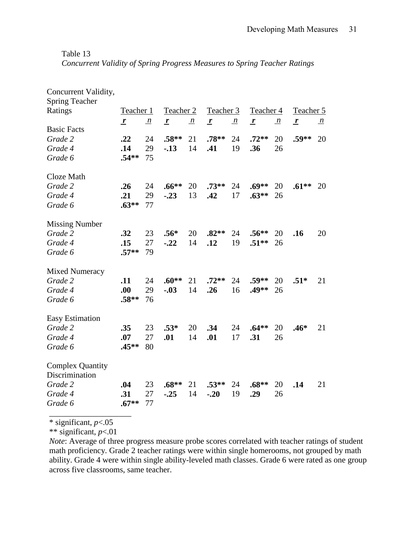| Concurrent Validity,    |              |                 |              |                 |              |                 |              |                 |              |               |
|-------------------------|--------------|-----------------|--------------|-----------------|--------------|-----------------|--------------|-----------------|--------------|---------------|
| <b>Spring Teacher</b>   |              |                 |              |                 |              |                 |              |                 |              |               |
| Ratings                 | Teacher 1    |                 | Teacher 2    |                 | Teacher 3    |                 | Teacher 4    |                 | Teacher 5    |               |
|                         | $\mathbf{r}$ | $\underline{n}$ | $\mathbf{r}$ | $\underline{n}$ | $\mathbf{r}$ | $\underline{n}$ | $\mathbf{r}$ | $\underline{n}$ | $\mathbf{r}$ | $\frac{n}{2}$ |
| <b>Basic Facts</b>      |              |                 |              |                 |              |                 |              |                 |              |               |
| Grade 2                 | .22          | 24              | $.58**$      | 21              | $.78**$      | 24              | $.72**$      | 20              | $.59**$      | 20            |
| Grade 4                 | .14          | 29              | $-.13$       | 14              | .41          | 19              | .36          | 26              |              |               |
| Grade 6                 | $.54**$      | 75              |              |                 |              |                 |              |                 |              |               |
| Cloze Math              |              |                 |              |                 |              |                 |              |                 |              |               |
| Grade 2                 | .26          | 24              | $.66***$     | 20              | $.73**$      | 24              | $.69**$      | 20              | $.61***$     | 20            |
| Grade 4                 | .21          | 29              | $-.23$       | 13              | .42          | 17              | $.63**$      | 26              |              |               |
| Grade 6                 | $.63**$      | 77              |              |                 |              |                 |              |                 |              |               |
| <b>Missing Number</b>   |              |                 |              |                 |              |                 |              |                 |              |               |
| Grade 2                 | .32          | 23              | $.56*$       | 20              | $.82**$      | 24              | $.56**$      | 20              | .16          | 20            |
| Grade 4                 | .15          | 27              | $-0.22$      | 14              | .12          | 19              | $.51**$      | 26              |              |               |
| Grade 6                 | $.57**$      | 79              |              |                 |              |                 |              |                 |              |               |
| <b>Mixed Numeracy</b>   |              |                 |              |                 |              |                 |              |                 |              |               |
| Grade 2                 | .11          | 24              | $.60**$      | 21              | $.72**$      | 24              | $.59**$      | 20              | $.51*$       | 21            |
| Grade 4                 | .00.         | 29              | $-.03$       | 14              | .26          | 16              | .49**        | 26              |              |               |
| Grade 6                 | $.58**$      | 76              |              |                 |              |                 |              |                 |              |               |
| <b>Easy Estimation</b>  |              |                 |              |                 |              |                 |              |                 |              |               |
| Grade 2                 | .35          | 23              | $.53*$       | 20              | .34          | 24              | $.64***$     | 20              | $.46*$       | 21            |
| Grade 4                 | .07          | 27              | .01          | 14              | .01          | 17              | .31          | 26              |              |               |
| Grade 6                 | $.45**$      | 80              |              |                 |              |                 |              |                 |              |               |
| <b>Complex Quantity</b> |              |                 |              |                 |              |                 |              |                 |              |               |
| Discrimination          |              |                 |              |                 |              |                 |              |                 |              |               |
| Grade 2                 | .04          | 23              | $.68**$      | 21              | $.53**$      | 24              | $.68**$      | 20              | .14          | 21            |
| Grade 4                 | .31          | 27              | $-0.25$      | 14              | $-.20$       | 19              | .29          | 26              |              |               |
| Grade 6                 | $.67**$      | 77              |              |                 |              |                 |              |                 |              |               |

# Table 13

*Concurrent Validity of Spring Progress Measures to Spring Teacher Ratings*

 $\overline{\ast}$  significant, *p*<.05

\*\* significant, *p*<.01

*Note*: Average of three progress measure probe scores correlated with teacher ratings of student math proficiency. Grade 2 teacher ratings were within single homerooms, not grouped by math ability. Grade 4 were within single ability-leveled math classes. Grade 6 were rated as one group across five classrooms, same teacher.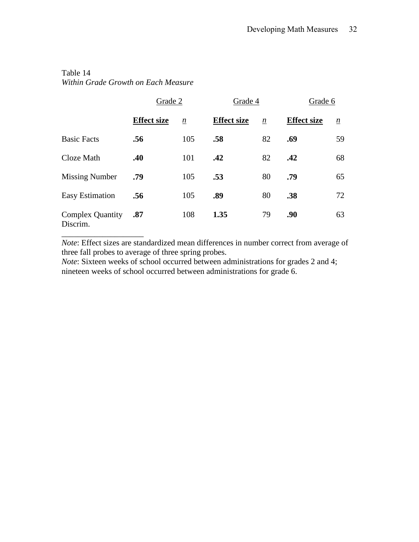## Table 14 *Within Grade Growth on Each Measure*

\_\_\_\_\_\_\_\_\_\_\_\_\_\_\_\_\_\_\_\_

|                                     | Grade 2            |                  | Grade 4            |                 | Grade 6            |                 |  |
|-------------------------------------|--------------------|------------------|--------------------|-----------------|--------------------|-----------------|--|
|                                     | <b>Effect size</b> | $\boldsymbol{n}$ | <b>Effect size</b> | $\underline{n}$ | <b>Effect size</b> | $\underline{n}$ |  |
| <b>Basic Facts</b>                  | .56                | 105              | .58                | 82              | .69                | 59              |  |
| Cloze Math                          | .40                | 101              | .42                | 82              | .42                | 68              |  |
| <b>Missing Number</b>               | .79                | 105              | .53                | 80              | .79                | 65              |  |
| <b>Easy Estimation</b>              | .56                | 105              | .89                | 80              | .38                | 72              |  |
| <b>Complex Quantity</b><br>Discrim. | .87                | 108              | 1.35               | 79              | .90                | 63              |  |

*Note*: Effect sizes are standardized mean differences in number correct from average of three fall probes to average of three spring probes.

*Note*: Sixteen weeks of school occurred between administrations for grades 2 and 4; nineteen weeks of school occurred between administrations for grade 6.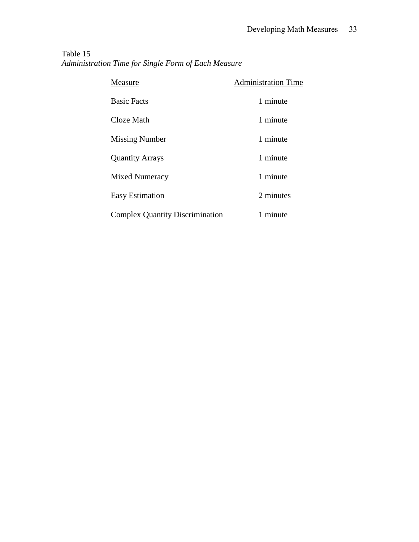# Table 15 *Administration Time for Single Form of Each Measure*

| Measure                                | <b>Administration Time</b> |
|----------------------------------------|----------------------------|
| <b>Basic Facts</b>                     | 1 minute                   |
| Cloze Math                             | 1 minute                   |
| <b>Missing Number</b>                  | 1 minute                   |
| <b>Quantity Arrays</b>                 | 1 minute                   |
| Mixed Numeracy                         | 1 minute                   |
| <b>Easy Estimation</b>                 | 2 minutes                  |
| <b>Complex Quantity Discrimination</b> | 1 minute                   |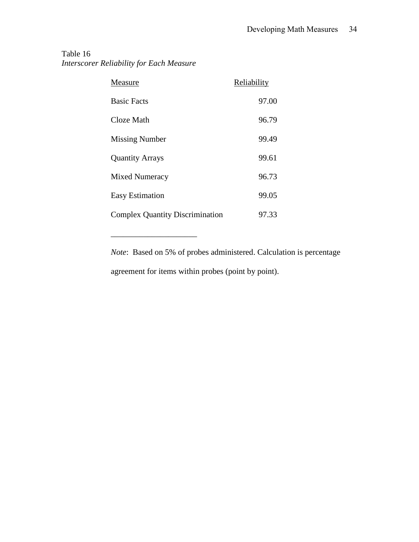| Table 16                                        |
|-------------------------------------------------|
| <b>Interscorer Reliability for Each Measure</b> |

| Measure                                | Reliability |
|----------------------------------------|-------------|
| <b>Basic Facts</b>                     | 97.00       |
| Cloze Math                             | 96.79       |
| <b>Missing Number</b>                  | 99.49       |
| <b>Quantity Arrays</b>                 | 99.61       |
| Mixed Numeracy                         | 96.73       |
| <b>Easy Estimation</b>                 | 99.05       |
| <b>Complex Quantity Discrimination</b> | 97.33       |

\_\_\_\_\_\_\_\_\_\_\_\_\_\_\_\_\_\_\_\_\_

*Note*: Based on 5% of probes administered. Calculation is percentage agreement for items within probes (point by point).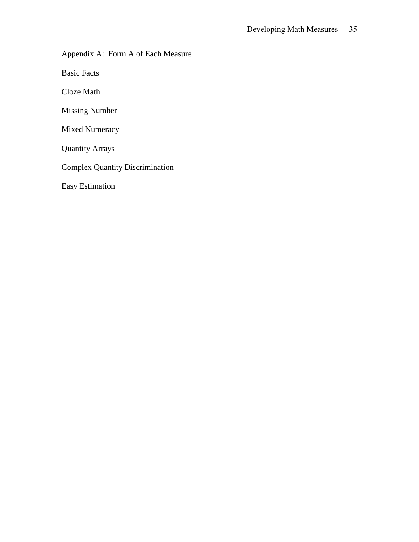Appendix A: Form A of Each Measure

Basic Facts

Cloze Math

Missing Number

Mixed Numeracy

Quantity Arrays

Complex Quantity Discrimination

Easy Estimation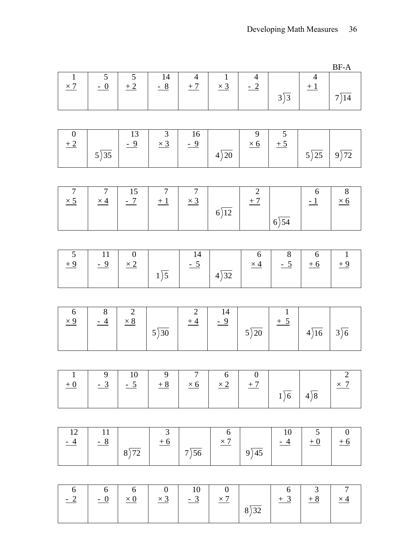|                                |                                |                                              |                              |                                |                                              |                          |                                 |                           | $BF-A$                               |
|--------------------------------|--------------------------------|----------------------------------------------|------------------------------|--------------------------------|----------------------------------------------|--------------------------|---------------------------------|---------------------------|--------------------------------------|
| $\mathbf{1}$<br>$\times$ 7     | $\mathfrak s$<br>$-0$          | $\sqrt{5}$<br>$+2$                           | 14<br>$-8$                   | $\overline{4}$<br>$\pm$ 7      | $\mathbf{1}$<br>$\times 3$                   | $\frac{4}{-2}$           | $3\overline{)3}$                | $\overline{4}$<br>$+1$    | $7\overline{\smash)14}$              |
|                                |                                |                                              |                              |                                |                                              |                          |                                 |                           |                                      |
| $\frac{0}{1+2}$                | $5\overline{\smash)35}$        | 13<br>$-9$                                   | $\frac{3}{\times 3}$         | 16<br>$-9$                     | $4\overline{)20}$                            | 9<br>$\times 6$          | $\frac{5}{+5}$                  | $5\overline{\smash{)}25}$ | $9\overline{)72}$                    |
|                                |                                |                                              |                              |                                |                                              |                          |                                 |                           |                                      |
| $\frac{7}{\times 5}$           | $\boldsymbol{7}$<br>$\times 4$ | 15<br>$-7$                                   | $\boldsymbol{7}$<br>$\pm\,1$ | $\frac{7}{\times 3}$           | $6\overline{\smash{)}12}$                    | $\frac{2}{+7}$           | $6\overline{\smash{)}54}$       | 6<br>$-1$                 | $\,8\,$<br>$\times 6$                |
|                                |                                |                                              |                              |                                |                                              |                          |                                 |                           |                                      |
| $\sqrt{5}$<br>$+9$             | $11\,$<br>$-9$                 | $\begin{array}{c} 0 \\ \times 2 \end{array}$ | $1\overline{)5}$             | $\frac{14}{-5}$                | $4\overline{)32}$                            | 6<br>$\times 4$          | 8<br>$\underline{\phantom{a}5}$ | 6<br>$+6$                 | $\mathbf{1}$<br>$+9$                 |
|                                |                                |                                              |                              |                                |                                              |                          |                                 |                           |                                      |
| $\boldsymbol{6}$<br>$\times 9$ | $8\,$<br>$-4$                  | $\frac{2}{\times 8}$                         | $5\overline{)30}$            | $\overline{c}$<br>$+4$         | 14<br>$-9$                                   | $5\overline{)20}$        | $\mathbf{1}$<br>$+5$            | $4\sqrt{16}$              | $3\overline{)6}$                     |
|                                |                                |                                              |                              |                                |                                              |                          |                                 |                           |                                      |
| $\,1\,$<br>$\pm 0$             | $\frac{9}{2}$                  | 10<br>$-5$                                   | $\overline{9}$<br>$\pm$ 8    | $\boldsymbol{7}$<br>$\times 6$ | $\frac{6}{\times 2}$                         | $\boldsymbol{0}$<br>$+7$ | $1\sqrt{6}$                     | $4\overline{\smash{)}8}$  | $\frac{2}{\times 7}$                 |
|                                |                                |                                              |                              |                                |                                              |                          |                                 |                           |                                      |
| 12<br>$-4$                     | $\frac{11}{11}$                | $8\overline{)72}$                            | $\frac{3}{16}$               | $7\overline{)56}$              | $\begin{array}{c} 6 \\ \times 7 \end{array}$ | $9\overline{)45}$        | 10<br>$-4$                      | 5<br>$+0$                 | $\boldsymbol{0}$<br>$\underline{+6}$ |
|                                |                                |                                              |                              |                                |                                              |                          |                                 |                           |                                      |

| <u>: 8</u> |      | <u>- 9</u> |                   |               |  |
|------------|------|------------|-------------------|---------------|--|
|            | 5)30 |            | $5\overline{)20}$ | $(4)16$   3)6 |  |

|                | 6 <sup>1</sup> | 6          | $\begin{array}{ccc} \vert & 0 \end{array}$                  |            |      |      |            |
|----------------|----------------|------------|-------------------------------------------------------------|------------|------|------|------------|
| $\frac{-2}{2}$ | $-0$           | $\times 0$ | $\begin{array}{ c c c c }\n\hline\n& x 3 & -3\n\end{array}$ | $\times 7$ |      | $+3$ | $\times$ 4 |
|                |                |            |                                                             |            | 0132 |      |            |
|                |                |            |                                                             |            |      |      |            |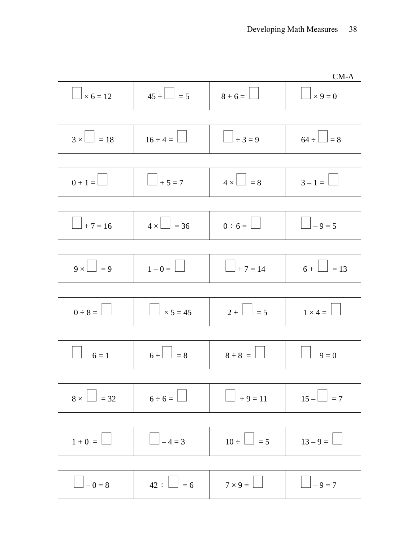|                                     |                                     |                                    | $CM-A$                         |
|-------------------------------------|-------------------------------------|------------------------------------|--------------------------------|
| $\Box \times 6 = 12$                | $45 \div \boxed{\phantom{0}} = 5$   | $8 + 6 =$                          | $\Box \times 9 = 0$            |
|                                     |                                     |                                    |                                |
| $3 \times \boxed{\phantom{0}} = 18$ | $16 \div 4 = \Box$                  | $\boxed{\phantom{0}}$ $\div$ 3 = 9 | $64 \div \Box = 8$             |
|                                     |                                     |                                    |                                |
| $0 + 1 = \Box$                      | $-$ + 5 = 7                         | $4 \times \Box = 8$                | $3 - 1 =$                      |
|                                     |                                     |                                    |                                |
| $-+7=16$                            | $4 \times \boxed{\phantom{0}}$ = 36 | $0 \div 6 = \Box$                  | $-$ - 9 = 5                    |
|                                     |                                     |                                    |                                |
| $9 \times \boxed{\phantom{0}} = 9$  | $1-0=$                              | $\boxed{\phantom{0}}$ + 7 = 14     | $6 + \Box = 13$                |
|                                     |                                     |                                    |                                |
| $0 \div 8 =$                        | $\Box \times 5 = 45$                | $2 + \boxed{\phantom{0}} = 5$      | $1 \times 4 =$                 |
|                                     |                                     |                                    |                                |
| $-6=1$                              | $6 + \square = 8$                   | $8 \div 8 = \Box$                  | $-$ - 9 = 0                    |
|                                     |                                     |                                    |                                |
| $8 \times \Box$ = 32                | $6 \div 6 =$                        | $\perp$ + 9 = 11                   | $15 - \boxed{\phantom{0}} = 7$ |
|                                     |                                     |                                    |                                |
| $1 + 0 = \Box$                      | $-4=3$                              | $10 \div \Box = 5$                 | $13 - 9 =$                     |
|                                     |                                     |                                    |                                |
| $\rfloor - 0 = 8$                   | $42 \div \Box$<br>$= 6$             | $7 \times 9 =$                     | $-9=7$                         |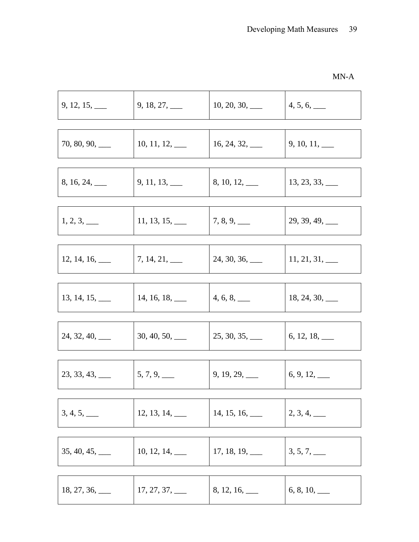| $9, 12, 15, \_\_$  | $9, 18, 27, \_\_$  | $10, 20, 30, \_\_$ | $4, 5, 6, \_\_$    |
|--------------------|--------------------|--------------------|--------------------|
| $70, 80, 90, \_\_$ | $10, 11, 12, \_\_$ | $16, 24, 32, \_\_$ | $9, 10, 11, \_\_$  |
| $8, 16, 24, \_\_$  | $9, 11, 13, \_\_$  | $8, 10, 12, \_\_$  | $13, 23, 33, \_\_$ |
| $1, 2, 3, \_\_$    | $11, 13, 15, \_\_$ | $7, 8, 9, \_\_$    | $29, 39, 49, \_\_$ |
| $12, 14, 16, \_\_$ | $7, 14, 21, \_\_$  | $24, 30, 36, \_\_$ | $11, 21, 31, \_\_$ |
| $13, 14, 15, \_\_$ | $14, 16, 18, \_\_$ | $4, 6, 8, \_\_$    | $18, 24, 30, \_\_$ |
| $24, 32, 40, \_\_$ | $30, 40, 50, \_\_$ | $25, 30, 35, \_\_$ | $6, 12, 18, \_\_$  |
| $23, 33, 43, \_\_$ | $5, 7, 9, \_\_$    | $9, 19, 29, \_\_$  | $6, 9, 12, \_\_$   |
| $3, 4, 5, \_\_$    | $12, 13, 14, \_\_$ | $14, 15, 16, \_\_$ | $2, 3, 4, \_\_$    |
| $35, 40, 45, \_\_$ | $10, 12, 14, \_\_$ | $17, 18, 19, \_\_$ | $3, 5, 7, \_\_$    |
| $18, 27, 36, \_\_$ | $17, 27, 37, \_\_$ | $8, 12, 16, \_\_$  | $6, 8, 10, \_\_$   |

MN-A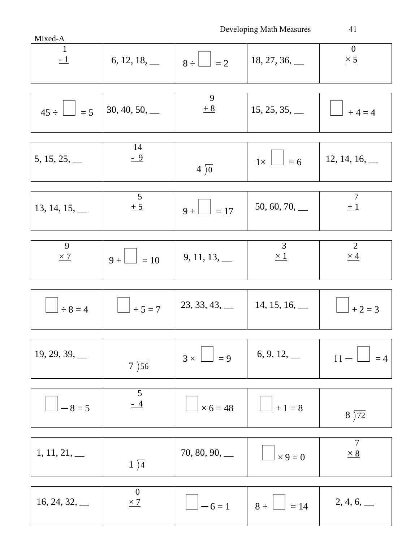| Developing Math Measures |  |
|--------------------------|--|
|                          |  |

| Mixed-A                               |                                   |                                    |                                    |                                                     |
|---------------------------------------|-----------------------------------|------------------------------------|------------------------------------|-----------------------------------------------------|
| -1<br>$\pm$ 1                         | $6, 12, 18, \_\_$                 | $8 \div \Box = 2$                  | $18, 27, 36, \_$                   | $\mathbf{0}$<br>$\times$ 5                          |
| $45 \div \Box = 5$                    | $30, 40, 50, \_$                  | 9<br>$+8$                          | $15, 25, 35, \_\_$                 | $\begin{array}{ c c }\n\hline\n\end{array}$ + 4 = 4 |
| $5, 15, 25, \_$                       | 14<br>$-9$                        | $4\overline{)0}$                   | $1 \times \boxed{\phantom{0}} = 6$ | $12, 14, 16, \_\_$                                  |
| $13, 14, 15, \_\_$                    | 5 <sup>5</sup><br>$+5$            | $9 + \boxed{\phantom{0}} = 17$     | $50, 60, 70, \_\_$                 | $\overline{7}$<br>$\pm$ 1                           |
| 9<br>$\times$ 7                       | $9 + \boxed{\phantom{0}} = 10$    | $9, 11, 13, \_\_$                  | $\mathfrak{Z}$<br>$\times$ 1       | 2<br>$\times$ 4                                     |
| $\overline{\phantom{a}}$ $\div$ 8 = 4 | $\Box$ + 5 = 7                    | $23, 33, 43, \_$                   | $14, 15, 16, \_\_$                 | $\boxed{\phantom{0}}$ + 2 = 3                       |
| $19, 29, 39, \_\_$                    | $7\sqrt{56}$                      | $3 \times \boxed{\phantom{0}} = 9$ | $6, 9, 12, \_$                     | $11 -$<br>$=4$                                      |
| $-8=5$                                | $5\overline{)}$<br>$\frac{-4}{-}$ | $\angle \times 6 = 48$             | $-+1=8$                            | $8\sqrt{72}$                                        |
| $1, 11, 21, \_$                       | $1\sqrt{4}$                       | $70, 80, 90, \_\_$                 | $\angle \times 9 = 0$              | $\tau$<br>$\times 8$                                |
| $16, 24, 32, \_$                      | $\boldsymbol{0}$<br>$\times$ 7    | $-6=1$                             | $8 + \Box = 14$                    | $2, 4, 6, \_$                                       |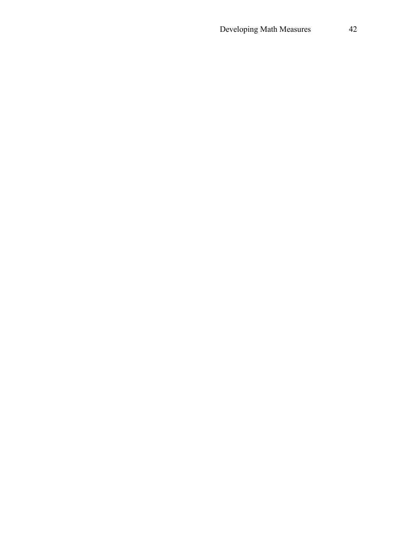### Developing Math Measures 42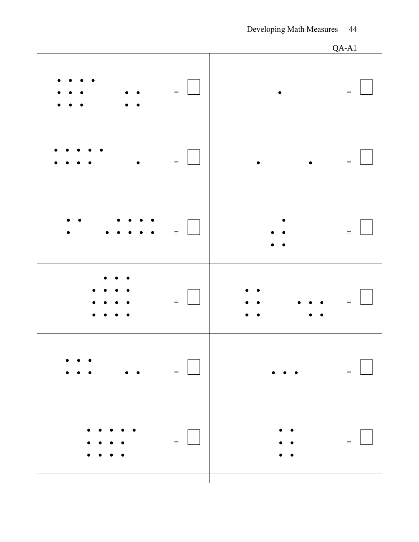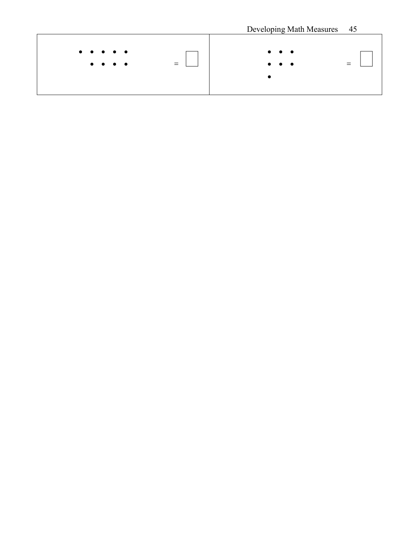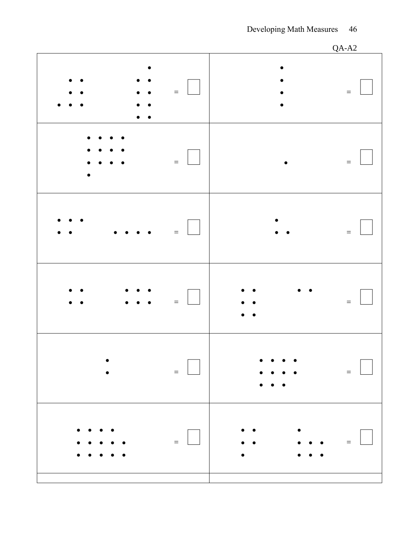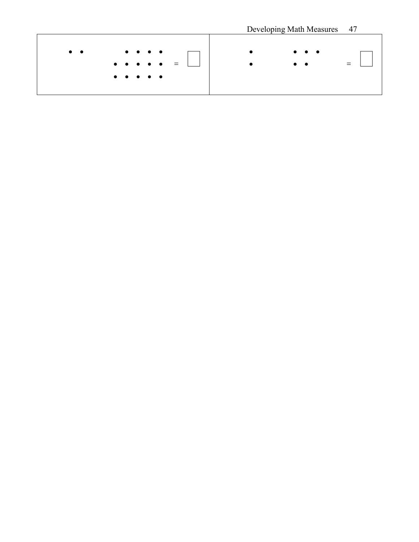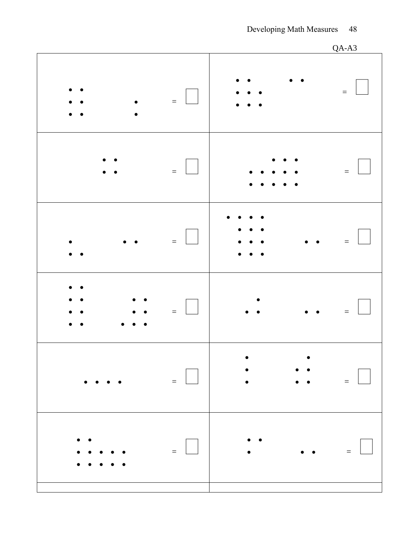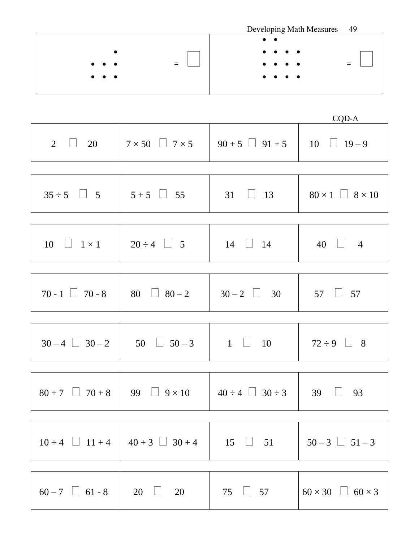

|  |                                                                                 | CQD-A |
|--|---------------------------------------------------------------------------------|-------|
|  | 2 $\Box$ 20 $ 7 \times 50 \Box 7 \times 5  90 + 5 \Box 91 + 5   10 \Box 19 - 9$ |       |

|--|--|--|--|

|  |  | $70-1$ $\Box$ $70-8$ $\Box$ $80-2$ $\Box$ $30-2$ $\Box$ $30$ $\Box$ $57$ $\Box$ $57$ |  |
|--|--|--------------------------------------------------------------------------------------|--|
|--|--|--------------------------------------------------------------------------------------|--|

| $30-4$ $30-2$ $50$ $50-3$ $1$ $10$ $72 \div 9$ $8$ |  |  |
|----------------------------------------------------|--|--|
|----------------------------------------------------|--|--|

|  |  | $80+7$ $\Box$ 70 + 8 $\Big $ 99 $\Box$ 9 × 10 $\Big $ 40 ÷ 4 $\Box$ 30 ÷ 3 $\Big $ 39 $\Box$ 93 |  |
|--|--|-------------------------------------------------------------------------------------------------|--|
|--|--|-------------------------------------------------------------------------------------------------|--|

|  | $\begin{array}{ c c c c c }\hline 60\times30 & \Box & 60\times3 \\ \hline \end{array}$ |
|--|----------------------------------------------------------------------------------------|
|  |                                                                                        |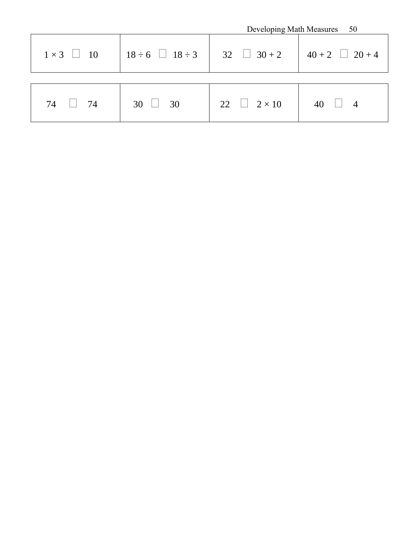|                                     |                          |                  | Developing Math Measures 50 |
|-------------------------------------|--------------------------|------------------|-----------------------------|
| $1 \times 3 \quad \square \quad 10$ |                          |                  |                             |
| $\Box$ 74<br>74                     | $30 \quad \Box \quad 30$ | 22 $\Box$ 2 × 10 | 40<br>$\overline{4}$        |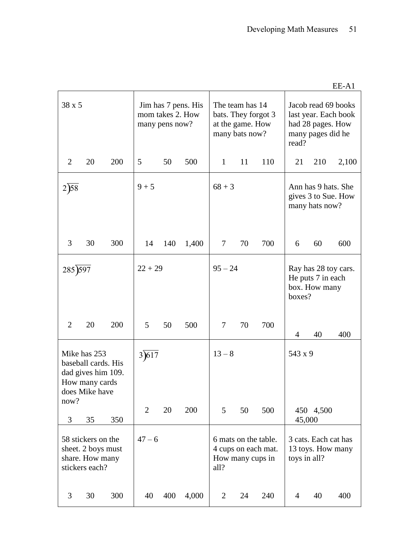|                |                                                                               |                                           |                                    |     |                     |              |                                                                              |                                             |                |                                                               | EE-A1                |
|----------------|-------------------------------------------------------------------------------|-------------------------------------------|------------------------------------|-----|---------------------|--------------|------------------------------------------------------------------------------|---------------------------------------------|----------------|---------------------------------------------------------------|----------------------|
| $38 \times 5$  |                                                                               |                                           | mom takes 2. How<br>many pens now? |     | Jim has 7 pens. His |              | The team has 14<br>bats. They forgot 3<br>at the game. How<br>many bats now? |                                             | read?          | Jacob read 69 books<br>had 28 pages. How<br>many pages did he | last year. Each book |
| 2              | 20                                                                            | 200                                       | 5                                  | 50  | 500                 | $\mathbf{1}$ | 11                                                                           | 110                                         | 21             | 210                                                           | 2,100                |
| 2) 58          |                                                                               |                                           | $9 + 5$                            |     |                     | $68 + 3$     |                                                                              |                                             |                | Ann has 9 hats. She<br>gives 3 to Sue. How<br>many hats now?  |                      |
| 3              | 30                                                                            | 300                                       | 14                                 | 140 | 1,400               | $\tau$       | 70                                                                           | 700                                         | 6              | 60                                                            | 600                  |
| 285)597        |                                                                               |                                           | $22 + 29$                          |     |                     | $95 - 24$    |                                                                              |                                             | boxes?         | Ray has 28 toy cars.<br>He puts 7 in each<br>box. How many    |                      |
| 2              | 20                                                                            | 200                                       | 5                                  | 50  | 500                 | 7            | 70                                                                           | 700                                         | 4              | 40                                                            | 400                  |
| now?           | Mike has 253<br>How many cards<br>does Mike have                              | baseball cards. His<br>dad gives him 109. | 3)617                              |     |                     | $13 - 8$     |                                                                              |                                             | 543 x 9        |                                                               |                      |
| $\mathfrak{Z}$ | 35                                                                            | 350                                       | $\overline{2}$                     | 20  | 200                 | 5            | 50                                                                           | 500                                         | 45,000         | 450 4,500                                                     |                      |
|                | 58 stickers on the<br>sheet. 2 boys must<br>share. How many<br>stickers each? |                                           | $47 - 6$                           |     |                     | all?         | How many cups in                                                             | 6 mats on the table.<br>4 cups on each mat. |                | 3 cats. Each cat has<br>13 toys. How many<br>toys in all?     |                      |
| 3              | 30                                                                            | 300                                       | 40                                 | 400 | 4,000               | 2            | 24                                                                           | 240                                         | $\overline{4}$ | 40                                                            | 400                  |

#### $\overline{A}$ 1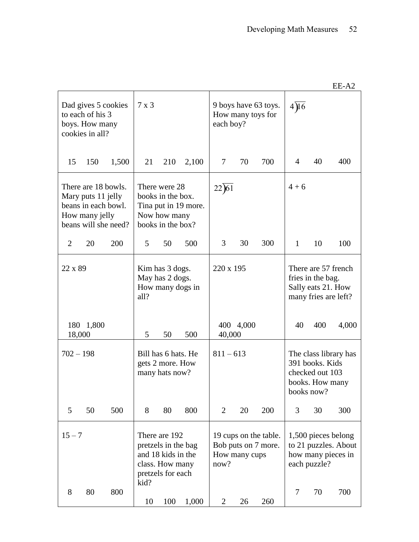|                                                                                                            |                                                                                                            |                                                                       | EE-A2                                                                                               |
|------------------------------------------------------------------------------------------------------------|------------------------------------------------------------------------------------------------------------|-----------------------------------------------------------------------|-----------------------------------------------------------------------------------------------------|
| Dad gives 5 cookies<br>to each of his 3<br>boys. How many<br>cookies in all?                               | $7 \times 3$                                                                                               | 9 boys have 63 toys.<br>How many toys for<br>each boy?                | 4)16                                                                                                |
| 15<br>150<br>1,500                                                                                         | 21<br>210<br>2,100                                                                                         | 70<br>700<br>7                                                        | $\overline{4}$<br>40<br>400                                                                         |
| There are 18 bowls.<br>Mary puts 11 jelly<br>beans in each bowl.<br>How many jelly<br>beans will she need? | There were 28<br>books in the box.<br>Tina put in 19 more.<br>Now how many<br>books in the box?            | 22)61                                                                 | $4 + 6$                                                                                             |
| 2<br>20<br><b>200</b>                                                                                      | 5<br>50<br>500                                                                                             | 30<br>3<br>300                                                        | $\mathbf{1}$<br>10<br>100                                                                           |
| 22 x 89                                                                                                    | Kim has 3 dogs.<br>May has 2 dogs.<br>How many dogs in<br>all?                                             | 220 x 195                                                             | There are 57 french<br>fries in the bag.<br>Sally eats 21. How<br>many fries are left?              |
| 180 1,800<br>18,000                                                                                        | 500<br>50<br>5                                                                                             | 400 4,000<br>40,000                                                   | 40<br>400<br>4,000                                                                                  |
| $702 - 198$                                                                                                | Bill has 6 hats. He<br>gets 2 more. How<br>many hats now?                                                  | $811 - 613$                                                           | The class library has<br>391 books. Kids<br>checked out 103<br>books. How many<br>books now?        |
| 5<br>500<br>50                                                                                             | 8<br>80<br>800                                                                                             | 200<br>2<br>20                                                        | 3<br>300<br>30                                                                                      |
| $15 - 7$<br>8<br>80<br>800                                                                                 | There are 192<br>pretzels in the bag<br>and 18 kids in the<br>class. How many<br>pretzels for each<br>kid? | 19 cups on the table.<br>Bob puts on 7 more.<br>How many cups<br>now? | 1,500 pieces belong<br>to 21 puzzles. About<br>how many pieces in<br>each puzzle?<br>7<br>70<br>700 |
|                                                                                                            | 10<br>100<br>1,000                                                                                         | 26<br>2<br>260                                                        |                                                                                                     |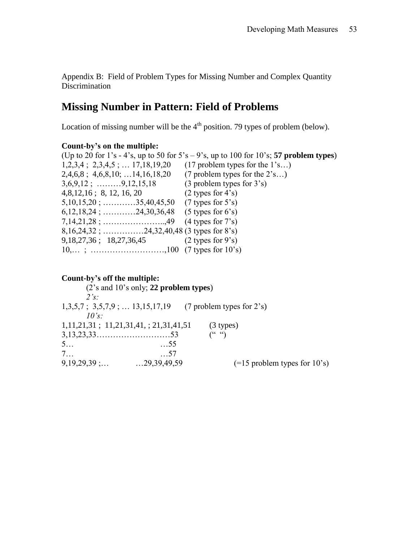Appendix B: Field of Problem Types for Missing Number and Complex Quantity Discrimination

### **Missing Number in Pattern: Field of Problems**

Location of missing number will be the  $4<sup>th</sup>$  position. 79 types of problem (below).

#### **Count-by's on the multiple:**

(Up to 20 for 1"s - 4"s, up to 50 for 5"s – 9"s, up to 100 for 10"s; **57 problem types**) 1,2,3,4 ; 2,3,4,5 ; … 17,18,19,20 (17 problem types for the 1"s…)  $2,4,6,8$ ;  $4,6,8,10$ ; ...14,16,18,20 (7 problem types for the  $2$ 's...) 3,6,9,12 ; ………9,12,15,18 (3 problem types for 3"s) 4,8,12,16 ; 8, 12, 16, 20 (2 types for 4"s) 5,10,15,20 ; …………35,40,45,50 (7 types for 5"s)  $6,12,18,24;$  ……………24,30,36,48 (5 types for 6's) 7,14,21,28 ; …………………..,49 (4 types for 7"s)  $8,16,24,32$ ; ……………24,32,40,48 (3 types for 8's) 9,18,27,36 ; 18,27,36,45 (2 types for 9"s)  $10, \ldots$ ; ………………………………,100 (7 types for  $10$ 's)

#### **Count-by's off the multiple:**

(2"s and 10"s only; **22 problem types**) *2's:*  1,3,5,7 ; 3,5,7,9 ; … 13,15,17,19 (7 problem types for 2"s) *10's:*  1,11,21,31 ; 11,21,31,41, ; 21,31,41,51 (3 types) 3,13,23,33………………………53 (" ") 5… …55 7… …57 9,19,29,39 ;… …29,39,49,59 (=15 problem types for 10"s)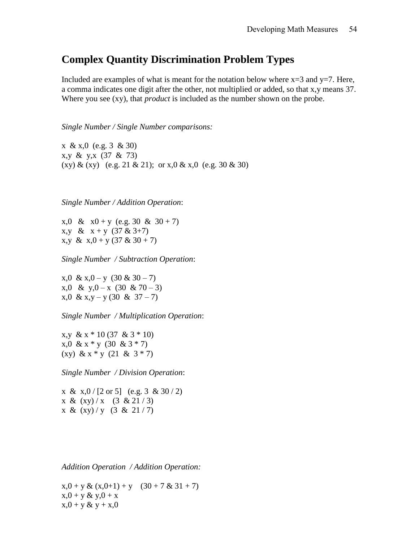### **Complex Quantity Discrimination Problem Types**

Included are examples of what is meant for the notation below where  $x=3$  and  $y=7$ . Here, a comma indicates one digit after the other, not multiplied or added, so that x,y means 37. Where you see (xy), that *product* is included as the number shown on the probe.

#### *Single Number / Single Number comparisons:*

x & x,0 (e.g. 3 & 30) x,y & y,x (37 & 73) (xy) & (xy) (e.g. 21 & 21); or x,  $0 \& x, 0$  (e.g. 30 & 30)

*Single Number / Addition Operation*:

 $x,0 \& x0 + y \text{ (e.g. 30 \& 30 + 7)}$ x,y &  $x + y$  (37 & 3+7) x,y &  $x,0 + y$  (37 & 30 + 7)

*Single Number / Subtraction Operation*:

 $x,0 \& x,0-y (30 \& 30 - 7)$  $x,0 \& y,0-x (30 \& 70-3)$  $x,0 \& x,y-y(30 \& 37-7)$ 

*Single Number / Multiplication Operation*:

 $x,y \& x * 10 (37 \& 3 * 10)$  $x,0 \& x * y (30 \& 3 * 7)$ (xy) & x  $*$  y (21 & 3  $*$  7)

*Single Number / Division Operation*:

x & x,0 / [2 or 5] (e.g. 3 & 30 / 2)  $x \& (xy)/x \quad (3 \& 21/3)$ x &  $(xy)/y$  (3 & 21/7)

*Addition Operation / Addition Operation:*

 $x,0 + y & (x,0+1) + y & (30 + 7 & 31 + 7)$  $x,0 + y & (y,0) + x$  $x,0 + y & y + x,0$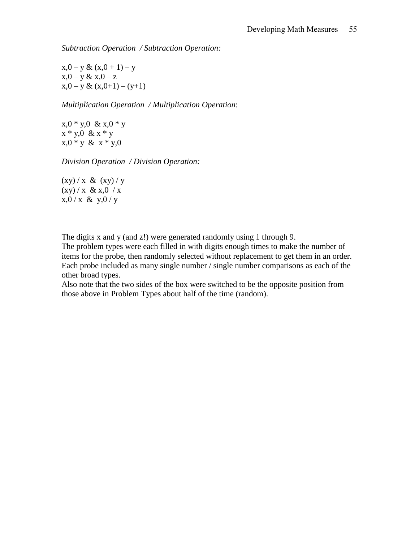*Subtraction Operation / Subtraction Operation:*

 $x,0 - y & (x,0 + 1) - y$  $x,0 - y & x,0 - z$  $x,0 - y & (x,0+1) - (y+1)$ 

*Multiplication Operation / Multiplication Operation*:

 $x,0 \times y,0 \& x,0 \times y$  $x * y, 0 & x * y$  $x,0 * y & x * y,0$ 

*Division Operation / Division Operation:*

 $(xy) / x \& (xy) / y$  $(xy) / x \& x, 0 / x$  $x, 0 / x \& y, 0 / y$ 

The digits x and y (and z!) were generated randomly using 1 through 9.

The problem types were each filled in with digits enough times to make the number of items for the probe, then randomly selected without replacement to get them in an order. Each probe included as many single number / single number comparisons as each of the other broad types.

Also note that the two sides of the box were switched to be the opposite position from those above in Problem Types about half of the time (random).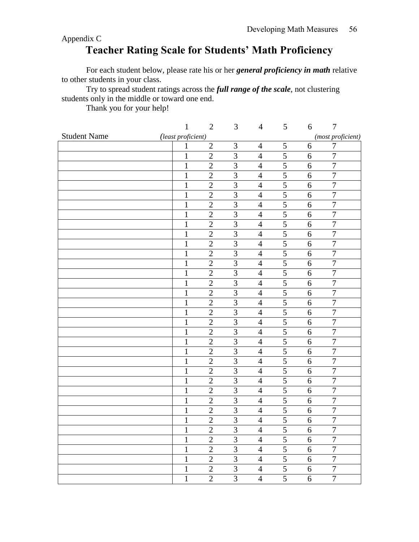### Appendix C **Teacher Rating Scale for Students' Math Proficiency**

For each student below, please rate his or her *general proficiency in math* relative to other students in your class.

Try to spread student ratings across the *full range of the scale*, not clustering students only in the middle or toward one end.

Thank you for your help!

|                     | $\mathbf{1}$       | $\overline{2}$ | 3                       | $\overline{4}$ | 5              | 6                | 7                 |
|---------------------|--------------------|----------------|-------------------------|----------------|----------------|------------------|-------------------|
| <b>Student Name</b> | (least proficient) |                |                         |                |                |                  | (most proficient) |
|                     | 1                  | $\overline{2}$ | 3                       | $\overline{4}$ | 5              | 6                | 7                 |
|                     | $\mathbf{1}$       | $\overline{2}$ | $\overline{3}$          | $\overline{4}$ | $\overline{5}$ | 6                | $\overline{7}$    |
|                     | $\mathbf{1}$       | $\overline{2}$ | 3                       | $\overline{4}$ | 5              | 6                | $\overline{7}$    |
|                     | $\mathbf{1}$       | $\overline{2}$ | 3                       | $\overline{4}$ | $\overline{5}$ | 6                | $\overline{7}$    |
|                     | $\mathbf{1}$       | $\overline{2}$ | 3                       | $\overline{4}$ | 5              | 6                | $\overline{7}$    |
|                     | $\mathbf{1}$       | $\overline{2}$ | 3                       | $\overline{4}$ | 5              | 6                | $\overline{7}$    |
|                     | $\mathbf{1}$       | $\overline{2}$ | 3                       | $\overline{4}$ | 5              | 6                | $\overline{7}$    |
|                     | $\mathbf{1}$       | $\overline{2}$ | 3                       | $\overline{4}$ | $\overline{5}$ | 6                | $\overline{7}$    |
|                     | $\mathbf{1}$       | $\overline{2}$ | $\overline{3}$          | $\overline{4}$ | 5              | 6                | $\boldsymbol{7}$  |
|                     | $\mathbf{1}$       | $\overline{2}$ | $\mathfrak{Z}$          | $\overline{4}$ | 5              | 6                | $\sqrt{ }$        |
|                     | $\mathbf{1}$       | $\overline{2}$ | 3                       | $\overline{4}$ | 5              | 6                | 7                 |
|                     | $\mathbf{1}$       | $\overline{2}$ | 3                       | $\overline{4}$ | 5              | 6                | $\overline{7}$    |
|                     | $\mathbf{1}$       | $\overline{2}$ | $\mathfrak{Z}$          | $\overline{4}$ | 5              | 6                | $\boldsymbol{7}$  |
|                     | 1                  | $\mathbf{2}$   | $\mathfrak{Z}$          | $\overline{4}$ | 5              | 6                | 7                 |
|                     | $\mathbf{1}$       | $\overline{2}$ | 3                       | $\overline{4}$ | 5              | 6                | $\boldsymbol{7}$  |
|                     | $\mathbf{1}$       | $\overline{2}$ | 3                       | $\overline{4}$ | 5              | 6                | $\overline{7}$    |
|                     | $\mathbf{1}$       | $\overline{2}$ | $\overline{3}$          | $\overline{4}$ | $\overline{5}$ | 6                | $\overline{7}$    |
|                     | $\mathbf{1}$       | $\overline{2}$ | $\overline{3}$          | $\overline{4}$ | $\overline{5}$ | 6                | $\overline{7}$    |
|                     | $\mathbf{1}$       | $\overline{2}$ | 3                       | $\overline{4}$ | 5              | 6                | $\overline{7}$    |
|                     | $\mathbf{1}$       | $\overline{2}$ | 3                       | $\overline{4}$ | 5              | 6                | $\overline{7}$    |
|                     | $\mathbf{1}$       | $\overline{2}$ | 3                       | $\overline{4}$ | $\overline{5}$ | 6                | $\overline{7}$    |
|                     | $\mathbf{1}$       | $\mathbf{2}$   | 3                       | $\overline{4}$ | 5              | 6                | $\boldsymbol{7}$  |
|                     | $\mathbf{1}$       | $\overline{2}$ | 3                       | $\overline{4}$ | 5              | 6                | $\boldsymbol{7}$  |
|                     | $\mathbf{1}$       | $\overline{2}$ | 3                       | $\overline{4}$ | 5              | 6                | 7                 |
|                     | $\mathbf{1}$       | $\overline{2}$ | 3                       | $\overline{4}$ | 5              | 6                | $\overline{7}$    |
|                     | $\mathbf{1}$       | $\mathbf{2}$   | 3                       | $\overline{4}$ | 5              | 6                | $\boldsymbol{7}$  |
|                     | $\mathbf{1}$       | $\overline{2}$ | $\mathfrak{Z}$          | $\overline{4}$ | 5              | 6                | $\tau$            |
|                     | $\mathbf{1}$       | $\sqrt{2}$     | $\mathfrak{Z}$          | $\overline{4}$ | 5              | 6                | $\overline{7}$    |
|                     | $\mathbf{1}$       | $\overline{2}$ | 3                       | $\overline{4}$ | 5              | 6                | 7                 |
|                     | 1                  | $\mathbf{2}$   | $\mathfrak{Z}$          | $\overline{4}$ | 5              | $\boldsymbol{6}$ | $\boldsymbol{7}$  |
|                     | $\mathbf 1$        | $\overline{2}$ | $\overline{3}$          | $\overline{4}$ | $\overline{5}$ | 6                | $\overline{7}$    |
|                     | $\mathbf 1$        | $\sqrt{2}$     | $\overline{\mathbf{3}}$ | $\overline{4}$ | $\mathfrak{S}$ | 6                | $\boldsymbol{7}$  |
|                     | $\mathbf{1}$       | $\overline{2}$ | $\overline{3}$          | $\overline{4}$ | $\overline{5}$ | 6                | $\overline{7}$    |
|                     | $\mathbf{1}$       | $\overline{2}$ | 3                       | $\overline{4}$ | $\overline{5}$ | 6                | $\overline{7}$    |
|                     | $\mathbf{1}$       | $\overline{2}$ | $\overline{3}$          | $\overline{4}$ | $\overline{5}$ | 6                | $\overline{7}$    |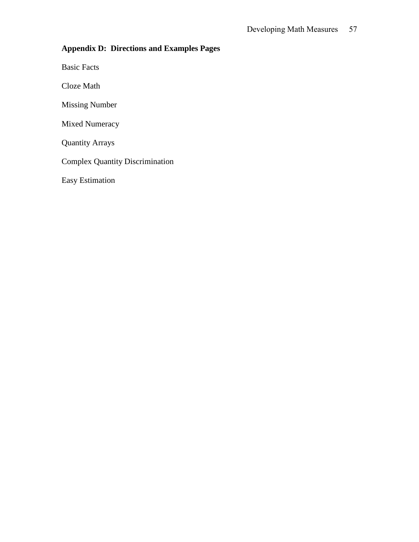### **Appendix D: Directions and Examples Pages**

Basic Facts

Cloze Math

Missing Number

Mixed Numeracy

Quantity Arrays

Complex Quantity Discrimination

Easy Estimation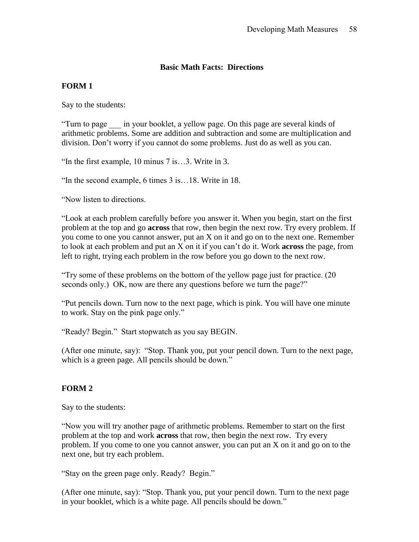#### **Basic Math Facts: Directions**

#### **FORM 1**

Say to the students:

"Turn to page \_\_\_ in your booklet, a yellow page. On this page are several kinds of arithmetic problems. Some are addition and subtraction and some are multiplication and division. Don"t worry if you cannot do some problems. Just do as well as you can.

"In the first example, 10 minus 7 is…3. Write in 3.

"In the second example, 6 times 3 is…18. Write in 18.

"Now listen to directions.

"Look at each problem carefully before you answer it. When you begin, start on the first problem at the top and go **across** that row, then begin the next row. Try every problem. If you come to one you cannot answer, put an X on it and go on to the next one. Remember to look at each problem and put an X on it if you can"t do it. Work **across** the page, from left to right, trying each problem in the row before you go down to the next row.

"Try some of these problems on the bottom of the yellow page just for practice. (20 seconds only.) OK, now are there any questions before we turn the page?"

"Put pencils down. Turn now to the next page, which is pink. You will have one minute to work. Stay on the pink page only."

"Ready? Begin." Start stopwatch as you say BEGIN.

(After one minute, say): "Stop. Thank you, put your pencil down. Turn to the next page, which is a green page. All pencils should be down."

### **FORM 2**

Say to the students:

"Now you will try another page of arithmetic problems. Remember to start on the first problem at the top and work **across** that row, then begin the next row. Try every problem. If you come to one you cannot answer, you can put an X on it and go on to the next one, but try each problem.

"Stay on the green page only. Ready? Begin."

(After one minute, say): "Stop. Thank you, put your pencil down. Turn to the next page in your booklet, which is a white page. All pencils should be down."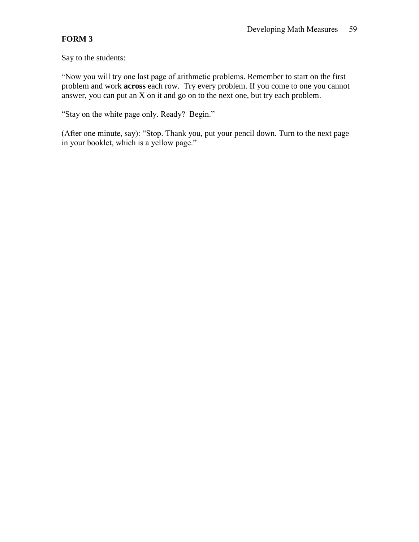Say to the students:

"Now you will try one last page of arithmetic problems. Remember to start on the first problem and work **across** each row. Try every problem. If you come to one you cannot answer, you can put an X on it and go on to the next one, but try each problem.

"Stay on the white page only. Ready? Begin."

(After one minute, say): "Stop. Thank you, put your pencil down. Turn to the next page in your booklet, which is a yellow page."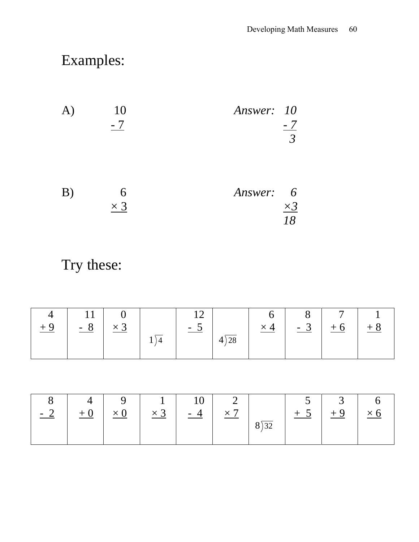| A) | 1 <sub>0</sub> | Answer: 10 |   |
|----|----------------|------------|---|
|    | н.             |            | - |
|    |                |            |   |
|    |                |            |   |

| B | <i>Answer</i> : 6 |  |
|---|-------------------|--|
|   |                   |  |
|   |                   |  |

| $\overline{4}$<br>$+9$ | $\frac{11}{18}$        | $\times 3$      | $1\sqrt{4}$ | 12<br>$\frac{-5}{2}$ | 4)28            | 6<br>$\times$ 4 | 8<br>$\frac{-3}{2}$ | $\underline{+6}$ | $+8$            |
|------------------------|------------------------|-----------------|-------------|----------------------|-----------------|-----------------|---------------------|------------------|-----------------|
|                        |                        |                 |             |                      |                 |                 |                     |                  |                 |
| 8<br>$-2$              | $\overline{4}$<br>$+0$ | 9<br>$\times 0$ | $\times$ 3  | 10<br>$-4$           | 2<br>$\times$ 7 | $8\sqrt{32}$    | $+5$                | $+9$             | 6<br>$\times 6$ |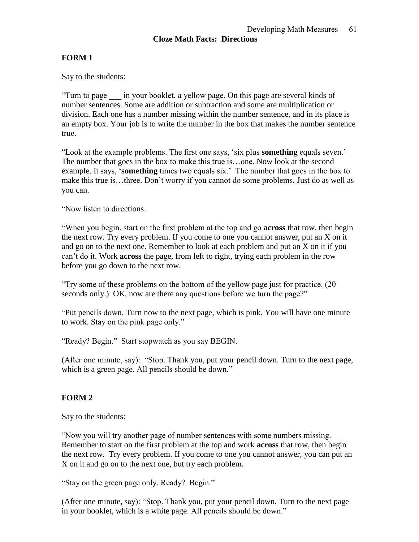Say to the students:

"Turn to page \_\_\_ in your booklet, a yellow page. On this page are several kinds of number sentences. Some are addition or subtraction and some are multiplication or division. Each one has a number missing within the number sentence, and in its place is an empty box. Your job is to write the number in the box that makes the number sentence true.

"Look at the example problems. The first one says, "six plus **something** equals seven." The number that goes in the box to make this true is…one. Now look at the second example. It says, **something** times two equals six. The number that goes in the box to make this true is…three. Don"t worry if you cannot do some problems. Just do as well as you can.

"Now listen to directions.

"When you begin, start on the first problem at the top and go **across** that row, then begin the next row. Try every problem. If you come to one you cannot answer, put an X on it and go on to the next one. Remember to look at each problem and put an X on it if you can"t do it. Work **across** the page, from left to right, trying each problem in the row before you go down to the next row.

"Try some of these problems on the bottom of the yellow page just for practice. (20 seconds only.) OK, now are there any questions before we turn the page?"

"Put pencils down. Turn now to the next page, which is pink. You will have one minute to work. Stay on the pink page only."

"Ready? Begin." Start stopwatch as you say BEGIN.

(After one minute, say): "Stop. Thank you, put your pencil down. Turn to the next page, which is a green page. All pencils should be down."

#### **FORM 2**

Say to the students:

"Now you will try another page of number sentences with some numbers missing. Remember to start on the first problem at the top and work **across** that row, then begin the next row. Try every problem. If you come to one you cannot answer, you can put an X on it and go on to the next one, but try each problem.

"Stay on the green page only. Ready? Begin."

(After one minute, say): "Stop. Thank you, put your pencil down. Turn to the next page in your booklet, which is a white page. All pencils should be down."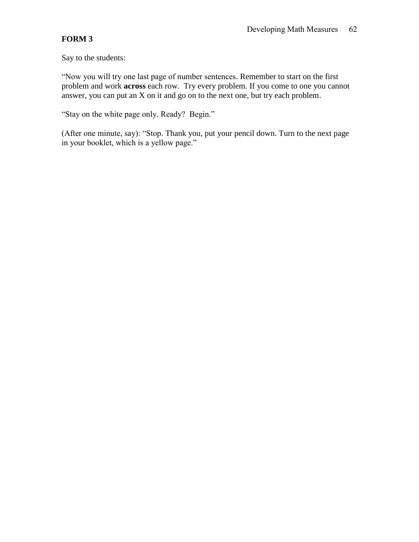Say to the students:

"Now you will try one last page of number sentences. Remember to start on the first problem and work **across** each row. Try every problem. If you come to one you cannot answer, you can put an X on it and go on to the next one, but try each problem.

"Stay on the white page only. Ready? Begin."

(After one minute, say): "Stop. Thank you, put your pencil down. Turn to the next page in your booklet, which is a yellow page."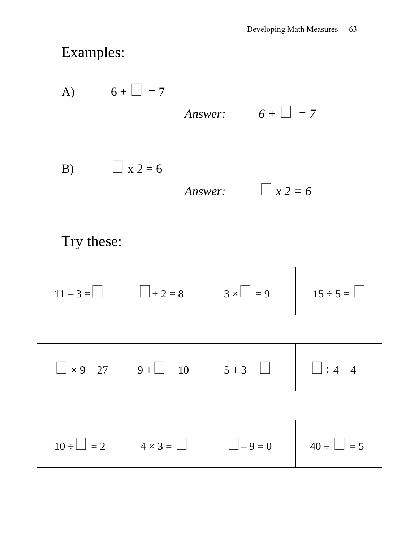

|  |  | $3 \times \Box = 9$ | $15 \div 5 = \Box$ |
|--|--|---------------------|--------------------|
|--|--|---------------------|--------------------|

| $\Box \times 9 = 27$ $9 + \Box = 10$ $5 + 3 = \Box$ $\Box \div 4 = 4$ |  |  |
|-----------------------------------------------------------------------|--|--|
|-----------------------------------------------------------------------|--|--|

|  |  | $10 \div \Box = 2$ $4 \times 3 = \Box$ $\Box - 9 = 0$ $40 \div \Box = 5$ |  |
|--|--|--------------------------------------------------------------------------|--|
|--|--|--------------------------------------------------------------------------|--|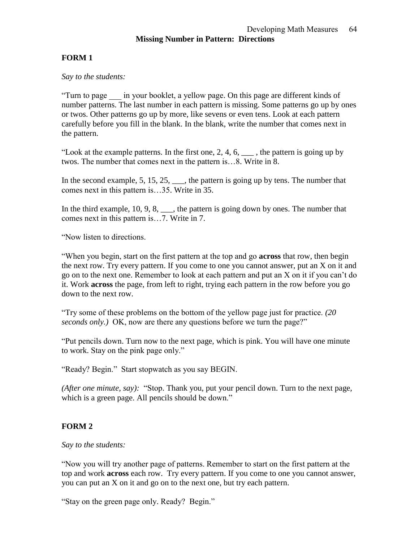#### *Say to the students:*

"Turn to page \_\_\_ in your booklet, a yellow page. On this page are different kinds of number patterns. The last number in each pattern is missing. Some patterns go up by ones or twos. Other patterns go up by more, like sevens or even tens. Look at each pattern carefully before you fill in the blank. In the blank, write the number that comes next in the pattern.

"Look at the example patterns. In the first one,  $2, 4, 6, \_\_\_\$ , the pattern is going up by twos. The number that comes next in the pattern is…8. Write in 8.

In the second example, 5, 15, 25,  $\_\_\_\$ , the pattern is going up by tens. The number that comes next in this pattern is…35. Write in 35.

In the third example,  $10, 9, 8, \ldots$ , the pattern is going down by ones. The number that comes next in this pattern is…7. Write in 7.

"Now listen to directions.

"When you begin, start on the first pattern at the top and go **across** that row, then begin the next row. Try every pattern. If you come to one you cannot answer, put an X on it and go on to the next one. Remember to look at each pattern and put an X on it if you can"t do it. Work **across** the page, from left to right, trying each pattern in the row before you go down to the next row.

"Try some of these problems on the bottom of the yellow page just for practice. *(20 seconds only.)* OK, now are there any questions before we turn the page?"

"Put pencils down. Turn now to the next page, which is pink. You will have one minute to work. Stay on the pink page only."

"Ready? Begin." Start stopwatch as you say BEGIN.

*(After one minute, say):* "Stop. Thank you, put your pencil down. Turn to the next page, which is a green page. All pencils should be down."

### **FORM 2**

#### *Say to the students:*

"Now you will try another page of patterns. Remember to start on the first pattern at the top and work **across** each row. Try every pattern. If you come to one you cannot answer, you can put an X on it and go on to the next one, but try each pattern.

"Stay on the green page only. Ready? Begin."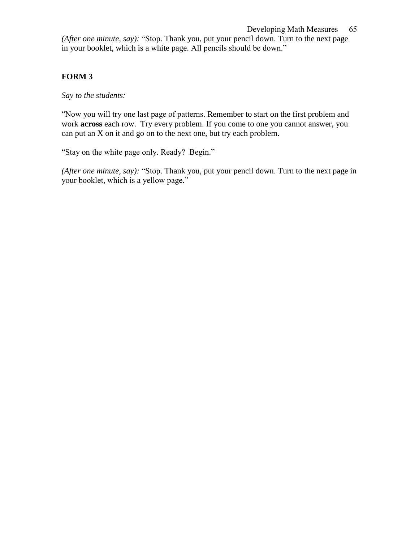*(After one minute, say):* "Stop. Thank you, put your pencil down. Turn to the next page in your booklet, which is a white page. All pencils should be down."

#### **FORM 3**

*Say to the students:*

"Now you will try one last page of patterns. Remember to start on the first problem and work **across** each row. Try every problem. If you come to one you cannot answer, you can put an X on it and go on to the next one, but try each problem.

"Stay on the white page only. Ready? Begin."

*(After one minute, say):* "Stop. Thank you, put your pencil down. Turn to the next page in your booklet, which is a yellow page."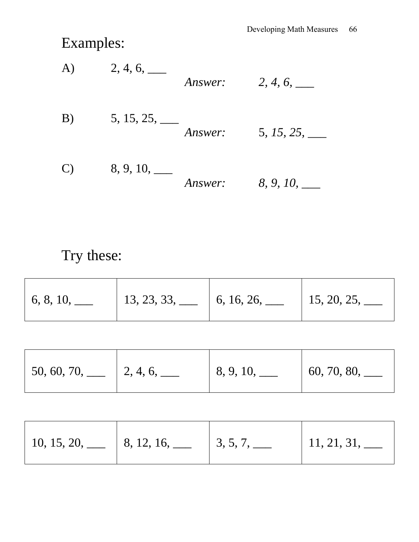| A)           | $2, 4, 6, \_\_$                     | Answer: | 2, 4, 6, $\overline{\phantom{0}}$ |
|--------------|-------------------------------------|---------|-----------------------------------|
| B)           | 5, 15, 25, $\overline{\phantom{0}}$ | Answer: | $5, 15, 25, \_\_$                 |
| $\mathbf{C}$ | $8, 9, 10, \_$                      | Answer: | 8, 9, 10,                         |

| $\pm$ 6, 8, 10, $\pm$ | $13, 23, 33, \_\_$ | $1, 6, 16, 26, \_\_$ | $15, 20, 25, \_\_$ |
|-----------------------|--------------------|----------------------|--------------------|
|-----------------------|--------------------|----------------------|--------------------|

| $1, 50, 60, 70, \_\_$ | $1, 2, 4, 6, \_\_$ | $8, 9, 10, \_\_$ | $60, 70, 80, \_\_$ |
|-----------------------|--------------------|------------------|--------------------|
|-----------------------|--------------------|------------------|--------------------|

| 10, 15, 20, | $18, 12, 16, \_$ | $3, 5, 7, \_\_$ | 11, 21, 31, $\_\_$ |
|-------------|------------------|-----------------|--------------------|
|             |                  |                 |                    |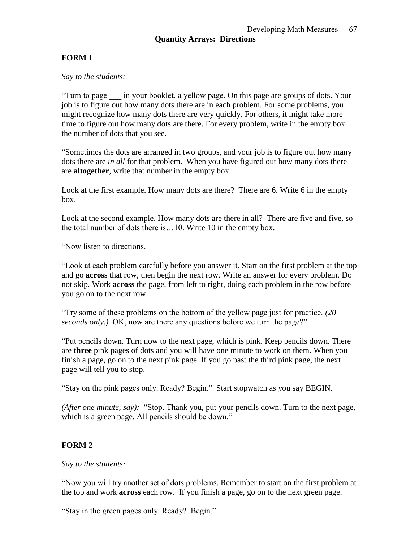### **Quantity Arrays: Directions**

#### **FORM 1**

#### *Say to the students:*

"Turn to page \_\_\_ in your booklet, a yellow page. On this page are groups of dots. Your job is to figure out how many dots there are in each problem. For some problems, you might recognize how many dots there are very quickly. For others, it might take more time to figure out how many dots are there. For every problem, write in the empty box the number of dots that you see.

"Sometimes the dots are arranged in two groups, and your job is to figure out how many dots there are *in all* for that problem. When you have figured out how many dots there are **altogether**, write that number in the empty box.

Look at the first example. How many dots are there? There are 6. Write 6 in the empty box.

Look at the second example. How many dots are there in all? There are five and five, so the total number of dots there is…10. Write 10 in the empty box.

"Now listen to directions.

"Look at each problem carefully before you answer it. Start on the first problem at the top and go **across** that row, then begin the next row. Write an answer for every problem. Do not skip. Work **across** the page, from left to right, doing each problem in the row before you go on to the next row.

"Try some of these problems on the bottom of the yellow page just for practice. *(20 seconds only.)* OK, now are there any questions before we turn the page?"

"Put pencils down. Turn now to the next page, which is pink. Keep pencils down. There are **three** pink pages of dots and you will have one minute to work on them. When you finish a page, go on to the next pink page. If you go past the third pink page, the next page will tell you to stop.

"Stay on the pink pages only. Ready? Begin." Start stopwatch as you say BEGIN.

*(After one minute, say):* "Stop. Thank you, put your pencils down. Turn to the next page, which is a green page. All pencils should be down."

### **FORM 2**

*Say to the students:*

"Now you will try another set of dots problems. Remember to start on the first problem at the top and work **across** each row. If you finish a page, go on to the next green page.

"Stay in the green pages only. Ready? Begin."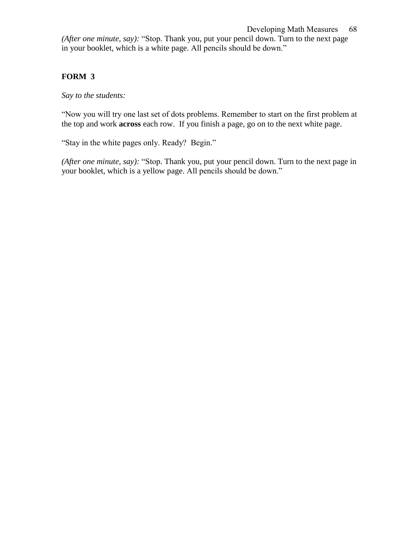*Say to the students:*

"Now you will try one last set of dots problems. Remember to start on the first problem at the top and work **across** each row. If you finish a page, go on to the next white page.

"Stay in the white pages only. Ready? Begin."

*(After one minute, say):* "Stop. Thank you, put your pencil down. Turn to the next page in your booklet, which is a yellow page. All pencils should be down."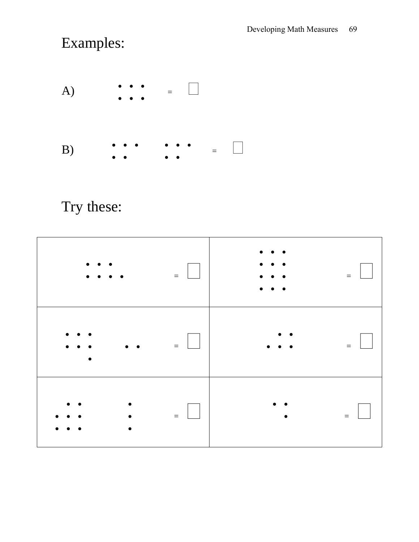

| $\bullet$<br>$\begin{array}{cccccccccccccc} \bullet & \bullet & \bullet & \bullet & \bullet & \bullet \end{array}$<br>$\mathcal{L} = \mathcal{L}$ | $\bullet\quad\bullet\quad\bullet$<br>$\bullet\quad\bullet\quad\bullet\qquad\bullet$<br>$\equiv$<br>$\bullet\quad\bullet\quad\bullet$ |
|---------------------------------------------------------------------------------------------------------------------------------------------------|--------------------------------------------------------------------------------------------------------------------------------------|
| $\bullet$ $\bullet$ $\qquad$ $=$ $\frac{1}{2}$<br>$\bullet\quad\bullet\quad\bullet$<br>$\bullet$                                                  | and the state of the                                                                                                                 |
| $\bullet\quad\bullet$<br>$\bullet$ $=$<br>$\bullet$<br>$\bullet\quad\bullet$                                                                      | $\begin{array}{c} \bullet \\ \bullet \\ \bullet \end{array}$<br>$\equiv$                                                             |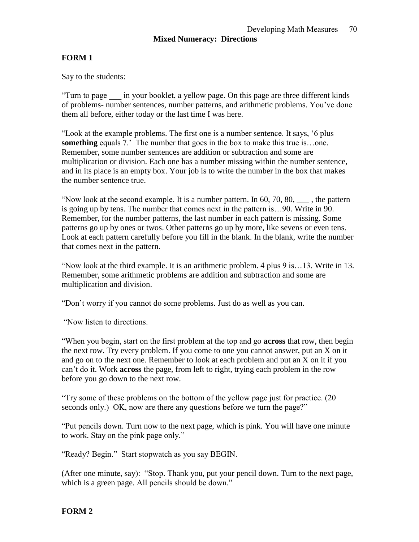#### **Mixed Numeracy: Directions**

#### **FORM 1**

Say to the students:

"Turn to page \_\_\_ in your booklet, a yellow page. On this page are three different kinds of problems- number sentences, number patterns, and arithmetic problems. You"ve done them all before, either today or the last time I was here.

"Look at the example problems. The first one is a number sentence. It says, "6 plus **something** equals 7.' The number that goes in the box to make this true is...one. Remember, some number sentences are addition or subtraction and some are multiplication or division. Each one has a number missing within the number sentence, and in its place is an empty box. Your job is to write the number in the box that makes the number sentence true.

"Now look at the second example. It is a number pattern. In 60, 70, 80, \_\_\_ , the pattern is going up by tens. The number that comes next in the pattern is…90. Write in 90. Remember, for the number patterns, the last number in each pattern is missing. Some patterns go up by ones or twos. Other patterns go up by more, like sevens or even tens. Look at each pattern carefully before you fill in the blank. In the blank, write the number that comes next in the pattern.

"Now look at the third example. It is an arithmetic problem. 4 plus 9 is…13. Write in 13. Remember, some arithmetic problems are addition and subtraction and some are multiplication and division.

"Don"t worry if you cannot do some problems. Just do as well as you can.

"Now listen to directions.

"When you begin, start on the first problem at the top and go **across** that row, then begin the next row. Try every problem. If you come to one you cannot answer, put an X on it and go on to the next one. Remember to look at each problem and put an X on it if you can"t do it. Work **across** the page, from left to right, trying each problem in the row before you go down to the next row.

"Try some of these problems on the bottom of the yellow page just for practice. (20 seconds only.) OK, now are there any questions before we turn the page?"

"Put pencils down. Turn now to the next page, which is pink. You will have one minute to work. Stay on the pink page only."

"Ready? Begin." Start stopwatch as you say BEGIN.

(After one minute, say): "Stop. Thank you, put your pencil down. Turn to the next page, which is a green page. All pencils should be down."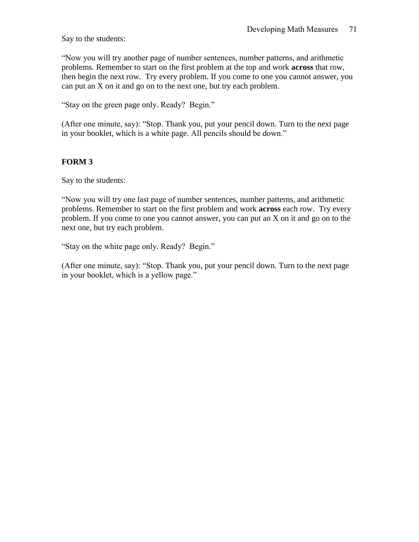Say to the students:

"Now you will try another page of number sentences, number patterns, and arithmetic problems. Remember to start on the first problem at the top and work **across** that row, then begin the next row. Try every problem. If you come to one you cannot answer, you can put an X on it and go on to the next one, but try each problem.

"Stay on the green page only. Ready? Begin."

(After one minute, say): "Stop. Thank you, put your pencil down. Turn to the next page in your booklet, which is a white page. All pencils should be down."

#### **FORM 3**

Say to the students:

"Now you will try one last page of number sentences, number patterns, and arithmetic problems. Remember to start on the first problem and work **across** each row. Try every problem. If you come to one you cannot answer, you can put an X on it and go on to the next one, but try each problem.

"Stay on the white page only. Ready? Begin."

(After one minute, say): "Stop. Thank you, put your pencil down. Turn to the next page in your booklet, which is a yellow page."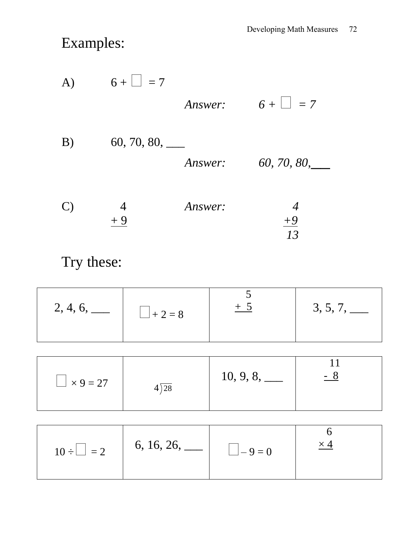| $\mathbf{A})$ | $6 + \square = 7$  |                |                   |
|---------------|--------------------|----------------|-------------------|
|               |                    | Answer:        | $6 + \square = 7$ |
|               |                    |                |                   |
| B)            | $60, 70, 80, \_\_$ | Answer:        | 60, 70, 80,       |
|               |                    |                |                   |
| $\mathbf{C}$  | 4                  | <i>Answer:</i> | 4                 |
|               | $+9$               |                | $+9$              |
|               |                    |                | 13                |

| $2, 4, 6, \_\_$ | $\Box$ +2=8 | $+$ J | $3, 5, 7, \_\_$ |
|-----------------|-------------|-------|-----------------|
|-----------------|-------------|-------|-----------------|

| $\Box \times 9 = 27$ | $4\sqrt{28}$ | $10, 9, 8, \_\_$ | - 0 |
|----------------------|--------------|------------------|-----|
|----------------------|--------------|------------------|-----|

| $10 \div \Box = 2$ | $6, 16, 26, \_\_$ | $-9=0$ |  |
|--------------------|-------------------|--------|--|
|--------------------|-------------------|--------|--|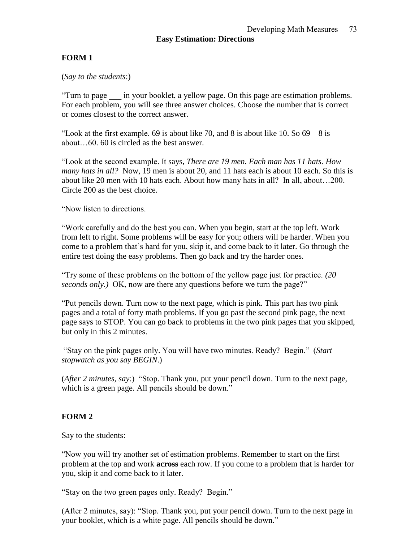#### **Easy Estimation: Directions**

### **FORM 1**

#### (*Say to the students*:)

"Turn to page \_\_\_ in your booklet, a yellow page. On this page are estimation problems. For each problem, you will see three answer choices. Choose the number that is correct or comes closest to the correct answer.

"Look at the first example. 69 is about like 70, and 8 is about like 10. So  $69 - 8$  is about…60. 60 is circled as the best answer.

"Look at the second example. It says, *There are 19 men. Each man has 11 hats. How many hats in all?* Now, 19 men is about 20, and 11 hats each is about 10 each. So this is about like 20 men with 10 hats each. About how many hats in all? In all, about…200. Circle 200 as the best choice.

"Now listen to directions.

"Work carefully and do the best you can. When you begin, start at the top left. Work from left to right. Some problems will be easy for you; others will be harder. When you come to a problem that"s hard for you, skip it, and come back to it later. Go through the entire test doing the easy problems. Then go back and try the harder ones.

"Try some of these problems on the bottom of the yellow page just for practice. *(20 seconds only.)* OK, now are there any questions before we turn the page?"

"Put pencils down. Turn now to the next page, which is pink. This part has two pink pages and a total of forty math problems. If you go past the second pink page, the next page says to STOP. You can go back to problems in the two pink pages that you skipped, but only in this 2 minutes.

"Stay on the pink pages only. You will have two minutes. Ready? Begin." (*Start stopwatch as you say BEGIN*.)

(*After 2 minutes, say*:) "Stop. Thank you, put your pencil down. Turn to the next page, which is a green page. All pencils should be down."

#### **FORM 2**

Say to the students:

"Now you will try another set of estimation problems. Remember to start on the first problem at the top and work **across** each row. If you come to a problem that is harder for you, skip it and come back to it later.

"Stay on the two green pages only. Ready? Begin."

(After 2 minutes, say): "Stop. Thank you, put your pencil down. Turn to the next page in your booklet, which is a white page. All pencils should be down."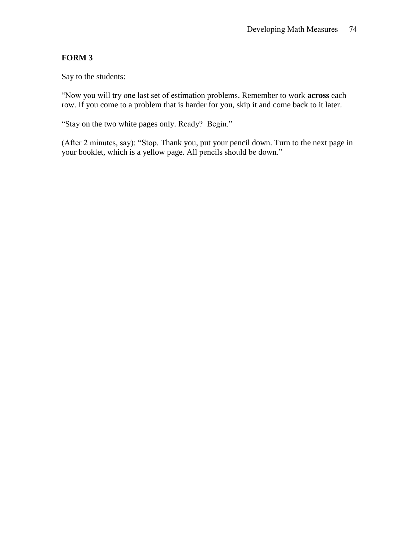### **FORM 3**

Say to the students:

"Now you will try one last set of estimation problems. Remember to work **across** each row. If you come to a problem that is harder for you, skip it and come back to it later.

"Stay on the two white pages only. Ready? Begin."

(After 2 minutes, say): "Stop. Thank you, put your pencil down. Turn to the next page in your booklet, which is a yellow page. All pencils should be down."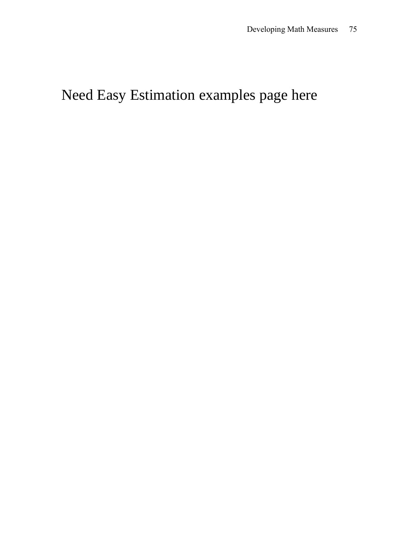Need Easy Estimation examples page here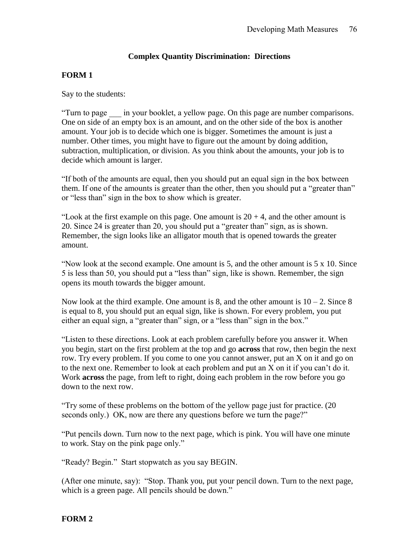#### **Complex Quantity Discrimination: Directions**

#### **FORM 1**

Say to the students:

"Turn to page \_\_\_ in your booklet, a yellow page. On this page are number comparisons. One on side of an empty box is an amount, and on the other side of the box is another amount. Your job is to decide which one is bigger. Sometimes the amount is just a number. Other times, you might have to figure out the amount by doing addition, subtraction, multiplication, or division. As you think about the amounts, your job is to decide which amount is larger.

"If both of the amounts are equal, then you should put an equal sign in the box between them. If one of the amounts is greater than the other, then you should put a "greater than" or "less than" sign in the box to show which is greater.

"Look at the first example on this page. One amount is  $20 + 4$ , and the other amount is 20. Since 24 is greater than 20, you should put a "greater than" sign, as is shown. Remember, the sign looks like an alligator mouth that is opened towards the greater amount.

"Now look at the second example. One amount is 5, and the other amount is 5 x 10. Since 5 is less than 50, you should put a "less than" sign, like is shown. Remember, the sign opens its mouth towards the bigger amount.

Now look at the third example. One amount is 8, and the other amount is  $10 - 2$ . Since 8 is equal to 8, you should put an equal sign, like is shown. For every problem, you put either an equal sign, a "greater than" sign, or a "less than" sign in the box."

"Listen to these directions. Look at each problem carefully before you answer it. When you begin, start on the first problem at the top and go **across** that row, then begin the next row. Try every problem. If you come to one you cannot answer, put an X on it and go on to the next one. Remember to look at each problem and put an X on it if you can"t do it. Work **across** the page, from left to right, doing each problem in the row before you go down to the next row.

"Try some of these problems on the bottom of the yellow page just for practice. (20 seconds only.) OK, now are there any questions before we turn the page?"

"Put pencils down. Turn now to the next page, which is pink. You will have one minute to work. Stay on the pink page only."

"Ready? Begin." Start stopwatch as you say BEGIN.

(After one minute, say): "Stop. Thank you, put your pencil down. Turn to the next page, which is a green page. All pencils should be down."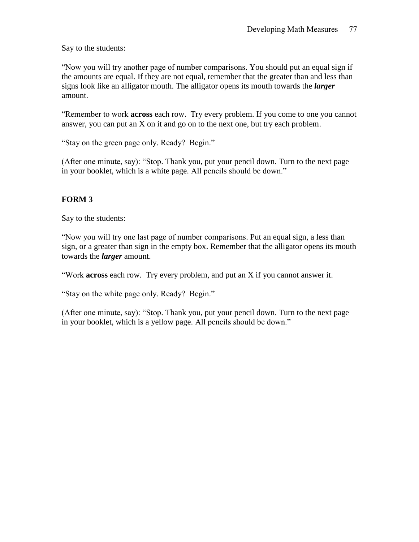Say to the students:

"Now you will try another page of number comparisons. You should put an equal sign if the amounts are equal. If they are not equal, remember that the greater than and less than signs look like an alligator mouth. The alligator opens its mouth towards the *larger* amount.

"Remember to work **across** each row. Try every problem. If you come to one you cannot answer, you can put an X on it and go on to the next one, but try each problem.

"Stay on the green page only. Ready? Begin."

(After one minute, say): "Stop. Thank you, put your pencil down. Turn to the next page in your booklet, which is a white page. All pencils should be down."

## **FORM 3**

Say to the students:

"Now you will try one last page of number comparisons. Put an equal sign, a less than sign, or a greater than sign in the empty box. Remember that the alligator opens its mouth towards the *larger* amount.

"Work **across** each row. Try every problem, and put an X if you cannot answer it.

"Stay on the white page only. Ready? Begin."

(After one minute, say): "Stop. Thank you, put your pencil down. Turn to the next page in your booklet, which is a yellow page. All pencils should be down."